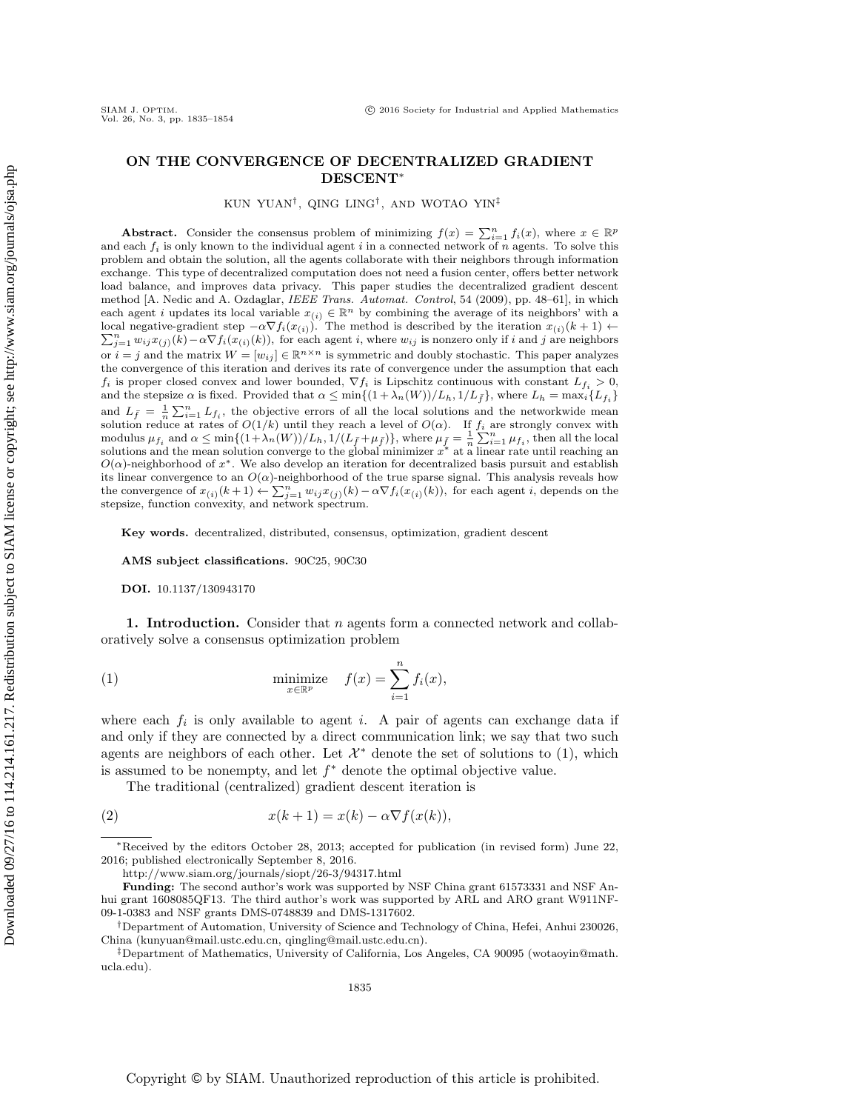# ON THE CONVERGENCE OF DECENTRALIZED GRADIENT DESCENT<sup>∗</sup>

KUN YUAN† , QING LING† , AND WOTAO YIN‡

Abstract. Consider the consensus problem of minimizing  $f(x) = \sum_{i=1}^{n} f_i(x)$ , where  $x \in \mathbb{R}^p$ and each  $f_i$  is only known to the individual agent i in a connected network of n agents. To solve this problem and obtain the solution, all the agents collaborate with their neighbors through information exchange. This type of decentralized computation does not need a fusion center, offers better network load balance, and improves data privacy. This paper studies the decentralized gradient descent method [A. Nedic and A. Ozdaglar, IEEE Trans. Automat. Control, 54 (2009), pp. 48–61], in which each agent i updates its local variable  $x_{(i)} \in \mathbb{R}^n$  by combining the average of its neighbors' with a local negative-gradient step  $-\alpha \nabla f_i(x_{(i)})$ . The method is described by the iteration  $x_{(i)}(k+1) \leftarrow$ <br> $\sum_{i=1}^{n} x_{(i)} x_{(i)}(k) - \alpha \nabla f_i(x_{(i)})$  for each againt is where  $x_{(i)}$  is popper only if i and i are pointborn  $\sum_{j=1}^n w_{ij}x_{(j)}(k) - \alpha \nabla f_i(x_{(i)}(k))$ , for each agent i, where  $w_{ij}$  is nonzero only if i and j are neighbors or  $i = j$  and the matrix  $W = [w_{ij}] \in \mathbb{R}^{n \times n}$  is symmetric and doubly stochastic. This paper analyzes the convergence of this iteration and derives its rate of convergence under the assumption that each  $f_i$  is proper closed convex and lower bounded,  $\nabla f_i$  is Lipschitz continuous with constant  $L_{f_i} > 0$ , and the stepsize  $\alpha$  is fixed. Provided that  $\alpha \le \min\{(1 + \lambda_n(W))/L_h, 1/L_{\bar{f}}\}$ , where  $L_h = \max_i \{L_{f_i}\}$ and  $L_{\bar{f}} = \frac{1}{n} \sum_{i=1}^{n} L_{f_i}$ , the objective errors of all the local solutions and the networkwide mean solution reduce at rates of  $O(1/k)$  until they reach a level of  $O(\alpha)$ . If  $f_i$  are strongly convex with modulus  $\mu_{f_i}$  and  $\alpha \le \min\{(1+\lambda_n(W))/L_h, 1/(L_{\bar{f}}+\mu_{\bar{f}})\}\$ , where  $\mu_{\bar{f}} = \frac{1}{n}\sum_{i=1}^n \mu_{f_i}$ , then all the local solutions and the mean solution converge to the global minimizer  $x^*$  at a linear rate until reaching an  $O(\alpha)$ -neighborhood of  $x^*$ . We also develop an iteration for decentralized basis pursuit and establish its linear convergence to an  $O(\alpha)$ -neighborhood of the true sparse signal. This analysis reveals how the convergence of  $x_{(i)}(k+1) \leftarrow \sum_{j=1}^{n} w_{ij} x_{(j)}(k) - \alpha \nabla f_i(x_{(i)}(k))$ , for each agent i, depends on the stepsize, function convexity, and network spectrum.

Key words. decentralized, distributed, consensus, optimization, gradient descent

AMS subject classifications. 90C25, 90C30

DOI. 10.1137/130943170

1. Introduction. Consider that  $n$  agents form a connected network and collaboratively solve a consensus optimization problem

<span id="page-0-0"></span>(1) 
$$
\underset{x \in \mathbb{R}^p}{\text{minimize}} \quad f(x) = \sum_{i=1}^n f_i(x),
$$

where each  $f_i$  is only available to agent i. A pair of agents can exchange data if and only if they are connected by a direct communication link; we say that two such agents are neighbors of each other. Let  $\mathcal{X}^*$  denote the set of solutions to [\(1\)](#page-0-0), which is assumed to be nonempty, and let  $f^*$  denote the optimal objective value.

<span id="page-0-1"></span>The traditional (centralized) gradient descent iteration is

(2) 
$$
x(k+1) = x(k) - \alpha \nabla f(x(k)),
$$

<sup>∗</sup>Received by the editors October 28, 2013; accepted for publication (in revised form) June 22, 2016; published electronically September 8, 2016.

<http://www.siam.org/journals/siopt/26-3/94317.html>

Funding: The second author's work was supported by NSF China grant 61573331 and NSF Anhui grant 1608085QF13. The third author's work was supported by ARL and ARO grant W911NF-09-1-0383 and NSF grants DMS-0748839 and DMS-1317602.

<sup>†</sup>Department of Automation, University of Science and Technology of China, Hefei, Anhui 230026, China [\(kunyuan@mail.ustc.edu.cn,](mailto:kunyuan@mail.ustc.edu.cn) [qingling@mail.ustc.edu.cn\)](mailto:qingling@mail.ustc.edu.cn).

<sup>‡</sup>Department of Mathematics, University of California, Los Angeles, CA 90095 [\(wotaoyin@math.](mailto:wotaoyin@math.ucla.edu) [ucla.edu\)](mailto:wotaoyin@math.ucla.edu).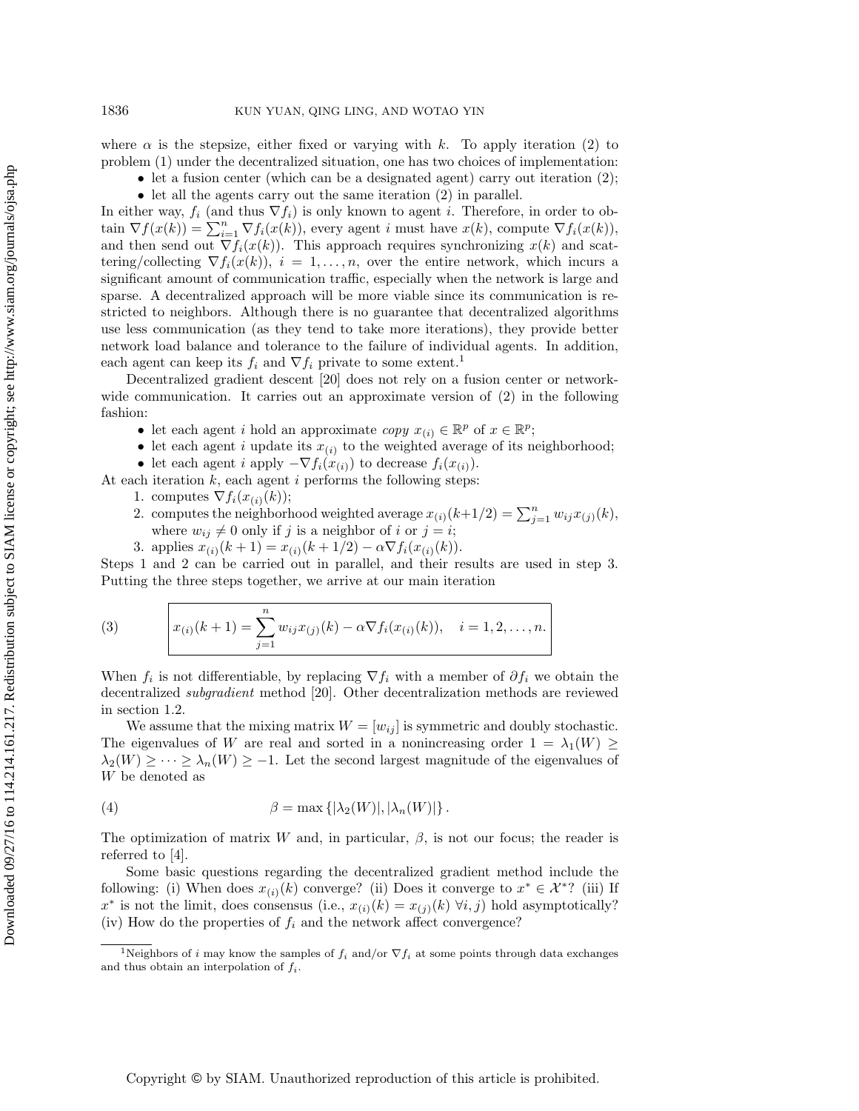where  $\alpha$  is the stepsize, either fixed or varying with k. To apply iteration [\(2\)](#page-0-1) to problem [\(1\)](#page-0-0) under the decentralized situation, one has two choices of implementation:

- let a fusion center (which can be a designated agent) carry out iteration [\(2\)](#page-0-1);
- let all the agents carry out the same iteration [\(2\)](#page-0-1) in parallel.

In either way,  $f_i$  (and thus  $\nabla f_i$ ) is only known to agent i. Therefore, in order to obtain  $\nabla f(x(k)) = \sum_{i=1}^{n} \nabla f_i(x(k))$ , every agent i must have  $x(k)$ , compute  $\nabla f_i(x(k))$ , and then send out  $\nabla f_i(x(k))$ . This approach requires synchronizing  $x(k)$  and scattering/collecting  $\nabla f_i(x(k))$ ,  $i = 1, \ldots, n$ , over the entire network, which incurs a significant amount of communication traffic, especially when the network is large and sparse. A decentralized approach will be more viable since its communication is restricted to neighbors. Although there is no guarantee that decentralized algorithms use less communication (as they tend to take more iterations), they provide better network load balance and tolerance to the failure of individual agents. In addition, each agent can keep its  $f_i$  and  $\nabla f_i$  private to some extent.<sup>[1](#page-1-0)</sup>

Decentralized gradient descent [\[20\]](#page-18-0) does not rely on a fusion center or networkwide communication. It carries out an approximate version of [\(2\)](#page-0-1) in the following fashion:

- let each agent i hold an approximate  $copy\ x_{(i)} \in \mathbb{R}^p$  of  $x \in \mathbb{R}^p$ ;
- let each agent i update its  $x_{(i)}$  to the weighted average of its neighborhood;
- let each agent i apply  $-\nabla f_i(x_{(i)})$  to decrease  $f_i(x_{(i)})$ .
- At each iteration  $k$ , each agent  $i$  performs the following steps:
	- 1. computes  $\nabla f_i(x_{(i)}(k));$
	- 2. computes the neighborhood weighted average  $x_{(i)}(k+1/2) = \sum_{j=1}^{n} w_{ij} x_{(j)}(k)$ , where  $w_{ij} \neq 0$  only if j is a neighbor of i or  $j = i$ ;
	- 3. applies  $x_{(i)}(k+1) = x_{(i)}(k+1/2) \alpha \nabla f_i(x_{(i)}(k)).$

Steps 1 and 2 can be carried out in parallel, and their results are used in step 3. Putting the three steps together, we arrive at our main iteration

<span id="page-1-1"></span>(3) 
$$
x_{(i)}(k+1) = \sum_{j=1}^{n} w_{ij} x_{(j)}(k) - \alpha \nabla f_i(x_{(i)}(k)), \quad i = 1, 2, ..., n.
$$

When  $f_i$  is not differentiable, by replacing  $\nabla f_i$  with a member of  $\partial f_i$  we obtain the decentralized subgradient method [\[20\]](#page-18-0). Other decentralization methods are reviewed in section [1.2.](#page-2-0)

We assume that the mixing matrix  $W = [w_{ij}]$  is symmetric and doubly stochastic. The eigenvalues of W are real and sorted in a nonincreasing order  $1 = \lambda_1(W) \geq$  $\lambda_2(W) \geq \cdots \geq \lambda_n(W) \geq -1$ . Let the second largest magnitude of the eigenvalues of W be denoted as

<span id="page-1-2"></span>(4) 
$$
\beta = \max\left\{|\lambda_2(W)|, |\lambda_n(W)|\right\}.
$$

The optimization of matrix W and, in particular,  $\beta$ , is not our focus; the reader is referred to [\[4\]](#page-18-1).

Some basic questions regarding the decentralized gradient method include the following: (i) When does  $x_{(i)}(k)$  converge? (ii) Does it converge to  $x^* \in \mathcal{X}^*$ ? (iii) If x<sup>\*</sup> is not the limit, does consensus (i.e.,  $x_{(i)}(k) = x_{(j)}(k)$   $\forall i, j$ ) hold asymptotically? (iv) How do the properties of  $f_i$  and the network affect convergence?

<span id="page-1-0"></span><sup>&</sup>lt;sup>1</sup>Neighbors of i may know the samples of  $f_i$  and/or  $\nabla f_i$  at some points through data exchanges and thus obtain an interpolation of  $f_i$ .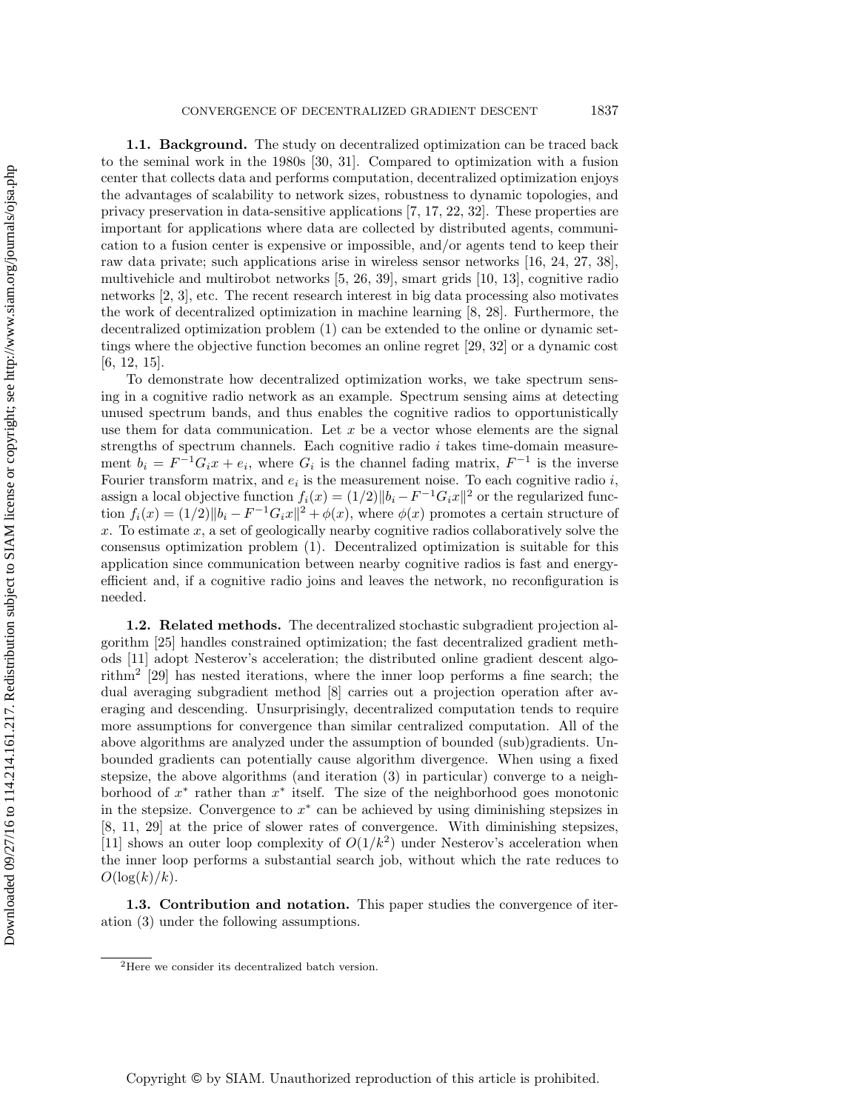1.1. Background. The study on decentralized optimization can be traced back to the seminal work in the 1980s [\[30,](#page-19-0) [31\]](#page-19-1). Compared to optimization with a fusion center that collects data and performs computation, decentralized optimization enjoys the advantages of scalability to network sizes, robustness to dynamic topologies, and privacy preservation in data-sensitive applications [\[7,](#page-18-2) [17,](#page-18-3) [22,](#page-19-2) [32\]](#page-19-3). These properties are important for applications where data are collected by distributed agents, communication to a fusion center is expensive or impossible, and/or agents tend to keep their raw data private; such applications arise in wireless sensor networks [\[16,](#page-18-4) [24,](#page-19-4) [27,](#page-19-5) [38\]](#page-19-6), multivehicle and multirobot networks [\[5,](#page-18-5) [26,](#page-19-7) [39\]](#page-19-8), smart grids [\[10,](#page-18-6) [13\]](#page-18-7), cognitive radio networks [\[2,](#page-18-8) [3\]](#page-18-9), etc. The recent research interest in big data processing also motivates the work of decentralized optimization in machine learning [\[8,](#page-18-10) [28\]](#page-19-9). Furthermore, the decentralized optimization problem [\(1\)](#page-0-0) can be extended to the online or dynamic settings where the objective function becomes an online regret [\[29,](#page-19-10) [32\]](#page-19-3) or a dynamic cost [\[6,](#page-18-11) [12,](#page-18-12) [15\]](#page-18-13).

To demonstrate how decentralized optimization works, we take spectrum sensing in a cognitive radio network as an example. Spectrum sensing aims at detecting unused spectrum bands, and thus enables the cognitive radios to opportunistically use them for data communication. Let  $x$  be a vector whose elements are the signal strengths of spectrum channels. Each cognitive radio  $i$  takes time-domain measurement  $b_i = F^{-1}G_i x + e_i$ , where  $G_i$  is the channel fading matrix,  $F^{-1}$  is the inverse Fourier transform matrix, and  $e_i$  is the measurement noise. To each cognitive radio i, assign a local objective function  $f_i(x) = (1/2) ||b_i - F^{-1}G_i x||^2$  or the regularized function  $f_i(x) = (1/2) \|b_i - F^{-1}G_i x\|^2 + \phi(x)$ , where  $\phi(x)$  promotes a certain structure of  $x$ . To estimate  $x$ , a set of geologically nearby cognitive radios collaboratively solve the consensus optimization problem [\(1\)](#page-0-0). Decentralized optimization is suitable for this application since communication between nearby cognitive radios is fast and energyefficient and, if a cognitive radio joins and leaves the network, no reconfiguration is needed.

<span id="page-2-0"></span>1.2. Related methods. The decentralized stochastic subgradient projection algorithm [\[25\]](#page-19-11) handles constrained optimization; the fast decentralized gradient methods [\[11\]](#page-18-14) adopt Nesterov's acceleration; the distributed online gradient descent algorithm[2](#page-2-1) [\[29\]](#page-19-10) has nested iterations, where the inner loop performs a fine search; the dual averaging subgradient method [\[8\]](#page-18-10) carries out a projection operation after averaging and descending. Unsurprisingly, decentralized computation tends to require more assumptions for convergence than similar centralized computation. All of the above algorithms are analyzed under the assumption of bounded (sub)gradients. Unbounded gradients can potentially cause algorithm divergence. When using a fixed stepsize, the above algorithms (and iteration [\(3\)](#page-1-1) in particular) converge to a neighborhood of  $x^*$  rather than  $x^*$  itself. The size of the neighborhood goes monotonic in the stepsize. Convergence to  $x^*$  can be achieved by using diminishing stepsizes in [\[8,](#page-18-10) [11,](#page-18-14) [29\]](#page-19-10) at the price of slower rates of convergence. With diminishing stepsizes, [\[11\]](#page-18-14) shows an outer loop complexity of  $O(1/k^2)$  under Nesterov's acceleration when the inner loop performs a substantial search job, without which the rate reduces to  $O(\log(k)/k)$ .

1.3. Contribution and notation. This paper studies the convergence of iteration [\(3\)](#page-1-1) under the following assumptions.

<span id="page-2-2"></span><span id="page-2-1"></span><sup>&</sup>lt;sup>2</sup>Here we consider its decentralized batch version.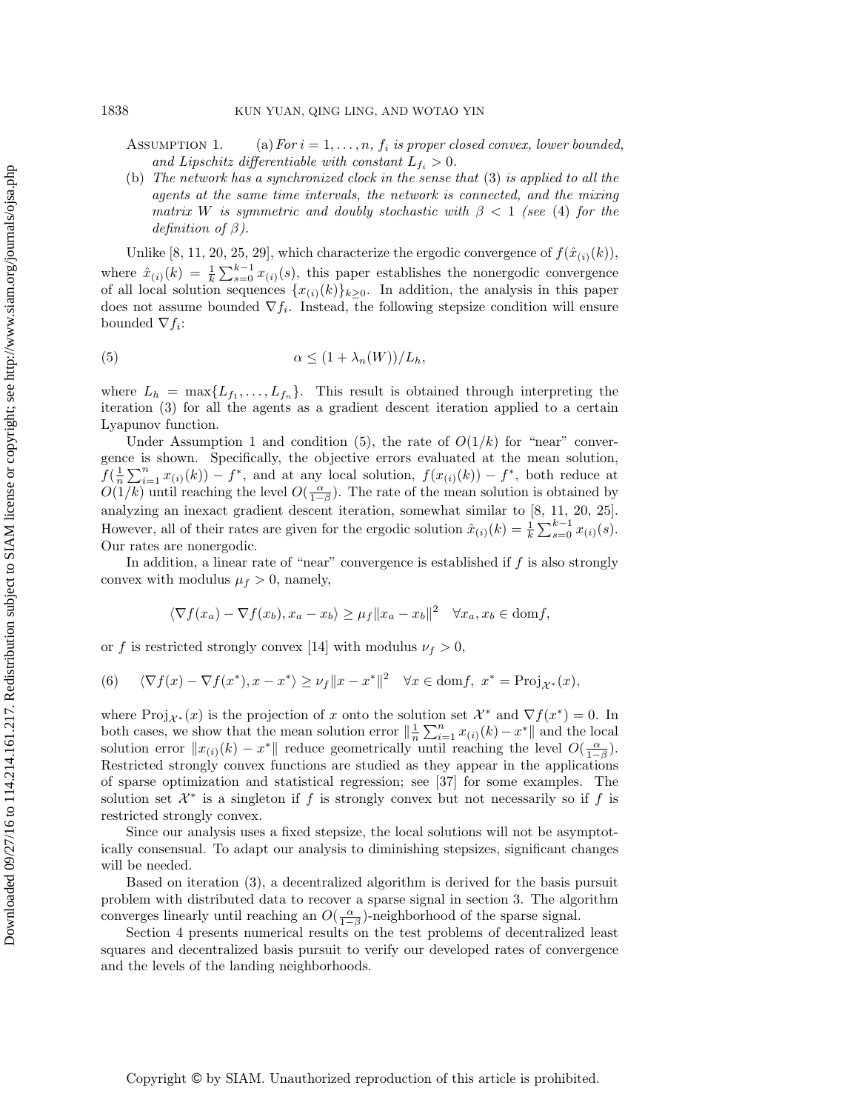ASSUMPTION 1. (a) For  $i = 1, ..., n$ ,  $f_i$  is proper closed convex, lower bounded, and Lipschitz differentiable with constant  $L_{f_i} > 0$ .

(b) The network has a synchronized clock in the sense that [\(3\)](#page-1-1) is applied to all the agents at the same time intervals, the network is connected, and the mixing matrix W is symmetric and doubly stochastic with  $\beta$  < 1 (see [\(4\)](#page-1-2) for the definition of  $\beta$ ).

Unlike [\[8,](#page-18-10) [11,](#page-18-14) [20,](#page-18-0) [25,](#page-19-11) [29\]](#page-19-10), which characterize the ergodic convergence of  $f(\hat{x}_{(i)}(k))$ , where  $\hat{x}_{(i)}(k) = \frac{1}{k} \sum_{s=0}^{k-1} x_{(i)}(s)$ , this paper establishes the nonergodic convergence of all local solution sequences  $\{x_{(i)}(k)\}_{k>0}$ . In addition, the analysis in this paper does not assume bounded  $\nabla f_i$ . Instead, the following stepsize condition will ensure bounded  $\nabla f_i$ :

<span id="page-3-0"></span>(5) 
$$
\alpha \le (1 + \lambda_n(W))/L_h,
$$

where  $L_h = \max\{L_{f_1}, \ldots, L_{f_n}\}.$  This result is obtained through interpreting the iteration [\(3\)](#page-1-1) for all the agents as a gradient descent iteration applied to a certain Lyapunov function.

Under Assumption [1](#page-2-2) and condition [\(5\)](#page-3-0), the rate of  $O(1/k)$  for "near" convergence is shown. Specifically, the objective errors evaluated at the mean solution,  $f(\frac{1}{n}\sum_{i=1}^n x_{(i)}(k)) - f^*$ , and at any local solution,  $f(x_{(i)}(k)) - f^*$ , both reduce at  $O(1/k)$  until reaching the level  $O(\frac{\alpha}{1-\beta})$ . The rate of the mean solution is obtained by analyzing an inexact gradient descent iteration, somewhat similar to [\[8,](#page-18-10) [11,](#page-18-14) [20,](#page-18-0) [25\]](#page-19-11). However, all of their rates are given for the ergodic solution  $\hat{x}_{(i)}(k) = \frac{1}{k} \sum_{s=0}^{k-1} x_{(i)}(s)$ . Our rates are nonergodic.

In addition, a linear rate of "near" convergence is established if  $f$  is also strongly convex with modulus  $\mu_f > 0$ , namely,

$$
\langle \nabla f(x_a) - \nabla f(x_b), x_a - x_b \rangle \ge \mu_f \|x_a - x_b\|^2 \quad \forall x_a, x_b \in \text{dom} f,
$$

or f is restricted strongly convex [\[14\]](#page-18-15) with modulus  $\nu_f > 0$ ,

(6) 
$$
\langle \nabla f(x) - \nabla f(x^*), x - x^* \rangle \ge \nu_f ||x - x^*||^2 \quad \forall x \in \text{dom} f, \ x^* = \text{Proj}_{\mathcal{X}^*}(x),
$$

where  $\text{Proj}_{\mathcal{X}^*}(x)$  is the projection of x onto the solution set  $\mathcal{X}^*$  and  $\nabla f(x^*) = 0$ . In both cases, we show that the mean solution error  $\|\frac{1}{n}\sum_{i=1}^n x_{(i)}(k) - x^*\|$  and the local solution error  $||x_{(i)}(k) - x^*||$  reduce geometrically until reaching the level  $O(\frac{\alpha}{1-\beta})$ . Restricted strongly convex functions are studied as they appear in the applications of sparse optimization and statistical regression; see [\[37\]](#page-19-12) for some examples. The solution set  $\mathcal{X}^*$  is a singleton if f is strongly convex but not necessarily so if f is restricted strongly convex.

Since our analysis uses a fixed stepsize, the local solutions will not be asymptotically consensual. To adapt our analysis to diminishing stepsizes, significant changes will be needed.

Based on iteration [\(3\)](#page-1-1), a decentralized algorithm is derived for the basis pursuit problem with distributed data to recover a sparse signal in section [3.](#page-13-0) The algorithm converges linearly until reaching an  $O(\frac{\alpha}{1-\beta})$ -neighborhood of the sparse signal.

Section [4](#page-15-0) presents numerical results on the test problems of decentralized least squares and decentralized basis pursuit to verify our developed rates of convergence and the levels of the landing neighborhoods.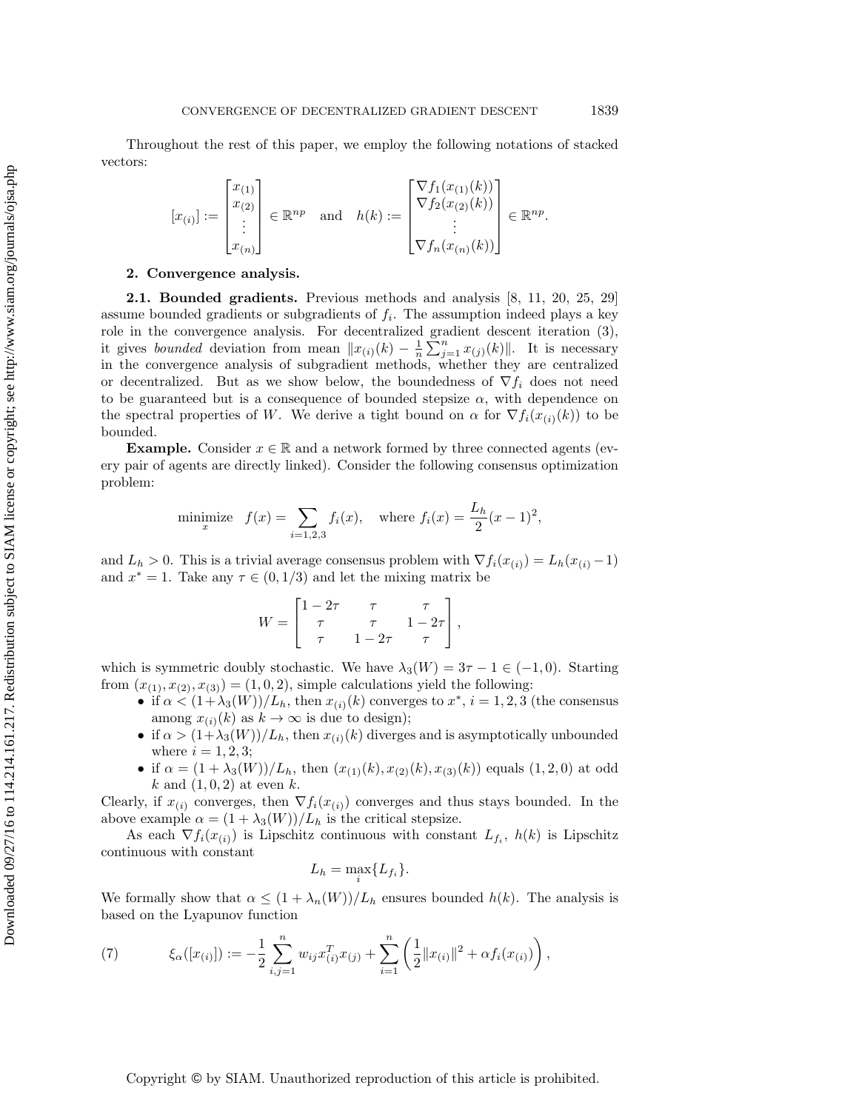Throughout the rest of this paper, we employ the following notations of stacked vectors:

$$
[x_{(i)}] := \begin{bmatrix} x_{(1)} \\ x_{(2)} \\ \vdots \\ x_{(n)} \end{bmatrix} \in \mathbb{R}^{np} \text{ and } h(k) := \begin{bmatrix} \nabla f_1(x_{(1)}(k)) \\ \nabla f_2(x_{(2)}(k)) \\ \vdots \\ \nabla f_n(x_{(n)}(k)) \end{bmatrix} \in \mathbb{R}^{np}.
$$

### 2. Convergence analysis.

2.1. Bounded gradients. Previous methods and analysis [\[8,](#page-18-10) [11,](#page-18-14) [20,](#page-18-0) [25,](#page-19-11) [29\]](#page-19-10) assume bounded gradients or subgradients of  $f_i$ . The assumption indeed plays a key role in the convergence analysis. For decentralized gradient descent iteration [\(3\)](#page-1-1), it gives *bounded* deviation from mean  $||x_{(i)}(k) - \frac{1}{n} \sum_{j=1}^{n} x_{(j)}(k)||$ . It is necessary in the convergence analysis of subgradient methods, whether they are centralized or decentralized. But as we show below, the boundedness of  $\nabla f_i$  does not need to be guaranteed but is a consequence of bounded stepsize  $\alpha$ , with dependence on the spectral properties of W. We derive a tight bound on  $\alpha$  for  $\nabla f_i(x_{(i)}(k))$  to be bounded.

**Example.** Consider  $x \in \mathbb{R}$  and a network formed by three connected agents (every pair of agents are directly linked). Consider the following consensus optimization problem:

minimize 
$$
f(x) = \sum_{i=1,2,3} f_i(x)
$$
, where  $f_i(x) = \frac{L_h}{2}(x-1)^2$ ,

and  $L_h > 0$ . This is a trivial average consensus problem with  $\nabla f_i(x_{(i)}) = L_h(x_{(i)} - 1)$ and  $x^* = 1$ . Take any  $\tau \in (0, 1/3)$  and let the mixing matrix be

$$
W = \begin{bmatrix} 1 - 2\tau & \tau & \tau \\ \tau & \tau & 1 - 2\tau \\ \tau & 1 - 2\tau & \tau \end{bmatrix},
$$

which is symmetric doubly stochastic. We have  $\lambda_3(W) = 3\tau - 1 \in (-1,0)$ . Starting from  $(x_{(1)}, x_{(2)}, x_{(3)}) = (1, 0, 2)$ , simple calculations yield the following:

- if  $\alpha < (1 + \lambda_3(W))/L_h$ , then  $x_{(i)}(k)$  converges to  $x^*, i = 1, 2, 3$  (the consensus among  $x_{(i)}(k)$  as  $k \to \infty$  is due to design);
- if  $\alpha > (1+\lambda_3(W))/L_h$ , then  $x_{(i)}(k)$  diverges and is asymptotically unbounded where  $i = 1, 2, 3;$
- if  $\alpha = (1 + \lambda_3(W))/L_h$ , then  $(x_{(1)}(k), x_{(2)}(k), x_{(3)}(k))$  equals  $(1, 2, 0)$  at odd k and  $(1, 0, 2)$  at even k.

Clearly, if  $x_{(i)}$  converges, then  $\nabla f_i(x_{(i)})$  converges and thus stays bounded. In the above example  $\alpha = (1 + \lambda_3(W))/L_h$  is the critical stepsize.

As each  $\nabla f_i(x_{(i)})$  is Lipschitz continuous with constant  $L_{f_i}$ ,  $h(k)$  is Lipschitz continuous with constant

$$
L_h = \max_i \{ L_{f_i} \}.
$$

We formally show that  $\alpha \leq (1 + \lambda_n(W))/L_h$  ensures bounded  $h(k)$ . The analysis is based on the Lyapunov function

<span id="page-4-0"></span>(7) 
$$
\xi_{\alpha}([x_{(i)}]) := -\frac{1}{2} \sum_{i,j=1}^{n} w_{ij} x_{(i)}^{T} x_{(j)} + \sum_{i=1}^{n} \left( \frac{1}{2} ||x_{(i)}||^{2} + \alpha f_{i}(x_{(i)}) \right),
$$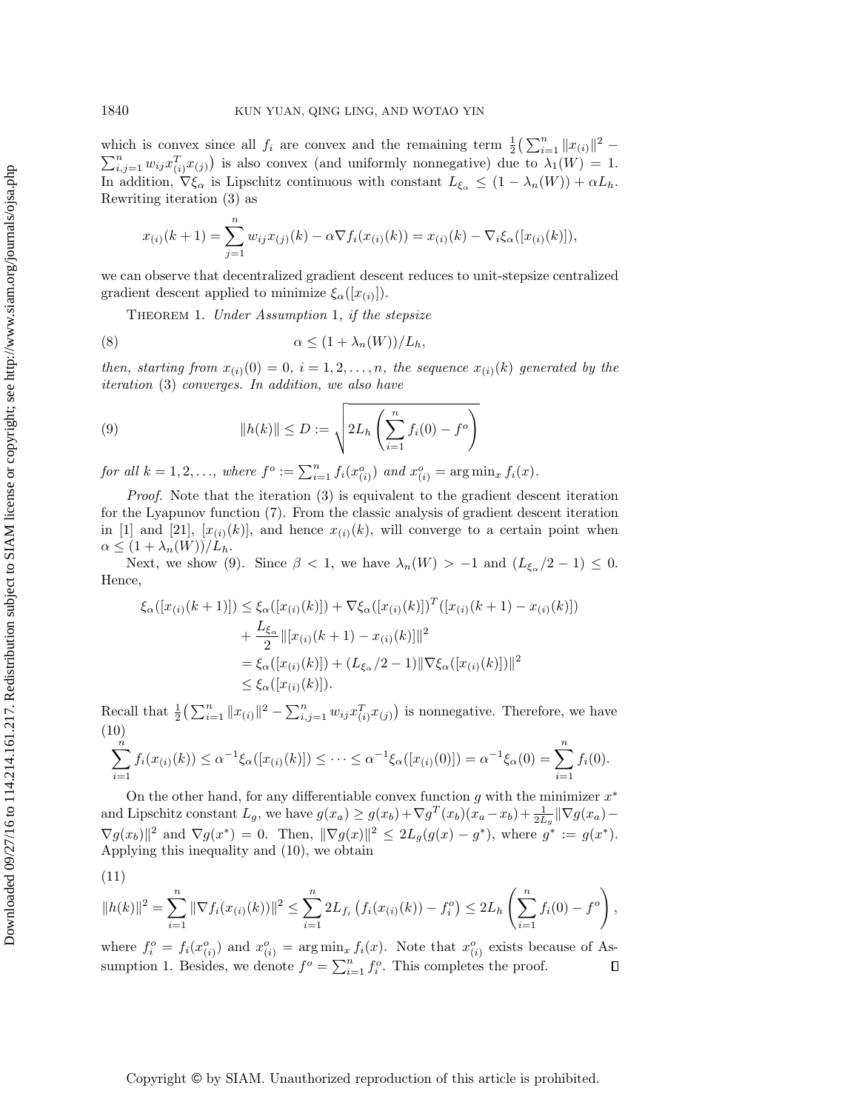which is convex since all  $f_i$  are convex and the remaining term  $\frac{1}{2}(\sum_{i=1}^n ||x_{(i)}||^2 \sum_{i,j=1}^n w_{ij} x_{(i)}^T x_{(j)}$  is also convex (and uniformly nonnegative) due to  $\lambda_1(W) = 1$ . In addition,  $\nabla \xi_{\alpha}$  is Lipschitz continuous with constant  $L_{\xi_{\alpha}} \leq (1 - \lambda_n(W)) + \alpha L_h$ . Rewriting iteration [\(3\)](#page-1-1) as

$$
x_{(i)}(k+1) = \sum_{j=1}^{n} w_{ij} x_{(j)}(k) - \alpha \nabla f_i(x_{(i)}(k)) = x_{(i)}(k) - \nabla_i \xi_\alpha([x_{(i)}(k)]),
$$

we can observe that decentralized gradient descent reduces to unit-stepsize centralized gradient descent applied to minimize  $\xi_{\alpha}([x_{(i)}]).$ 

<span id="page-5-3"></span><span id="page-5-2"></span>THEOREM [1](#page-2-2). Under Assumption 1, if the stepsize

(8) 
$$
\alpha \le (1 + \lambda_n(W))/L_h,
$$

then, starting from  $x_{(i)}(0) = 0$ ,  $i = 1, 2, ..., n$ , the sequence  $x_{(i)}(k)$  generated by the iteration [\(3\)](#page-1-1) converges. In addition, we also have

<span id="page-5-0"></span>(9) 
$$
||h(k)|| \le D := \sqrt{2L_h \left(\sum_{i=1}^n f_i(0) - f^o\right)}
$$

for all  $k = 1, 2, \ldots$ , where  $f^o := \sum_{i=1}^n f_i(x_{(i)}^o)$  and  $x_{(i)}^o = \arg \min_x f_i(x)$ .

Proof. Note that the iteration [\(3\)](#page-1-1) is equivalent to the gradient descent iteration for the Lyapunov function [\(7\)](#page-4-0). From the classic analysis of gradient descent iteration in [\[1\]](#page-18-16) and [\[21\]](#page-18-17),  $[x_{(i)}(k)]$ , and hence  $x_{(i)}(k)$ , will converge to a certain point when  $\alpha \leq (1 + \lambda_n(W))/L_h.$ 

Next, we show [\(9\)](#page-5-0). Since  $\beta < 1$ , we have  $\lambda_n(W) > -1$  and  $(L_{\xi_\alpha}/2 - 1) \leq 0$ . Hence,

$$
\xi_{\alpha}([x_{(i)}(k+1)]) \leq \xi_{\alpha}([x_{(i)}(k)]) + \nabla \xi_{\alpha}([x_{(i)}(k)])^T([x_{(i)}(k+1) - x_{(i)}(k)]) \n+ \frac{L_{\xi_{\alpha}}}{2} ||[x_{(i)}(k+1) - x_{(i)}(k)]||^2 \n= \xi_{\alpha}([x_{(i)}(k)]) + (L_{\xi_{\alpha}}/2 - 1) ||\nabla \xi_{\alpha}([x_{(i)}(k)])||^2 \n\leq \xi_{\alpha}([x_{(i)}(k)]).
$$

Recall that  $\frac{1}{2} \left( \sum_{i=1}^n ||x_{(i)}||^2 - \sum_{i,j=1}^n w_{ij} x_{(i)}^T x_{(j)} \right)$  is nonnegative. Therefore, we have (10)

<span id="page-5-1"></span>
$$
\sum_{i=1}^{n} f_i(x_{(i)}(k)) \leq \alpha^{-1} \xi_\alpha([x_{(i)}(k)]) \leq \cdots \leq \alpha^{-1} \xi_\alpha([x_{(i)}(0)]) = \alpha^{-1} \xi_\alpha(0) = \sum_{i=1}^{n} f_i(0).
$$

On the other hand, for any differentiable convex function  $g$  with the minimizer  $x^*$ and Lipschitz constant  $L_g$ , we have  $g(x_a) \ge g(x_b) + \nabla g^T(x_b)(x_a - x_b) + \frac{1}{2L_g} \|\nabla g(x_a) \nabla g(x_b) \|^{2}$  and  $\nabla g(x^*) = 0$ . Then,  $\|\nabla g(x)\|^{2} \le 2L_g(g(x) - g^*)$ , where  $g^* := g(x^*)$ . Applying this inequality and [\(10\)](#page-5-1), we obtain

$$
||h(k)||^2 = \sum_{i=1}^n ||\nabla f_i(x_{(i)}(k))||^2 \le \sum_{i=1}^n 2L_{f_i} \left( f_i(x_{(i)}(k)) - f_i^o \right) \le 2L_h \left( \sum_{i=1}^n f_i(0) - f^o \right)
$$

where  $f_i^o = f_i(x_{(i)}^o)$  and  $x_{(i)}^o = \arg \min_x f_i(x)$ . Note that  $x_{(i)}^o$  exists because of As-sumption [1.](#page-2-2) Besides, we denote  $f^o = \sum_{i=1}^n f_i^o$ . This completes the proof.  $\Box$ 

,

### Copyright © by SIAM. Unauthorized reproduction of this article is prohibited.

 $(11)$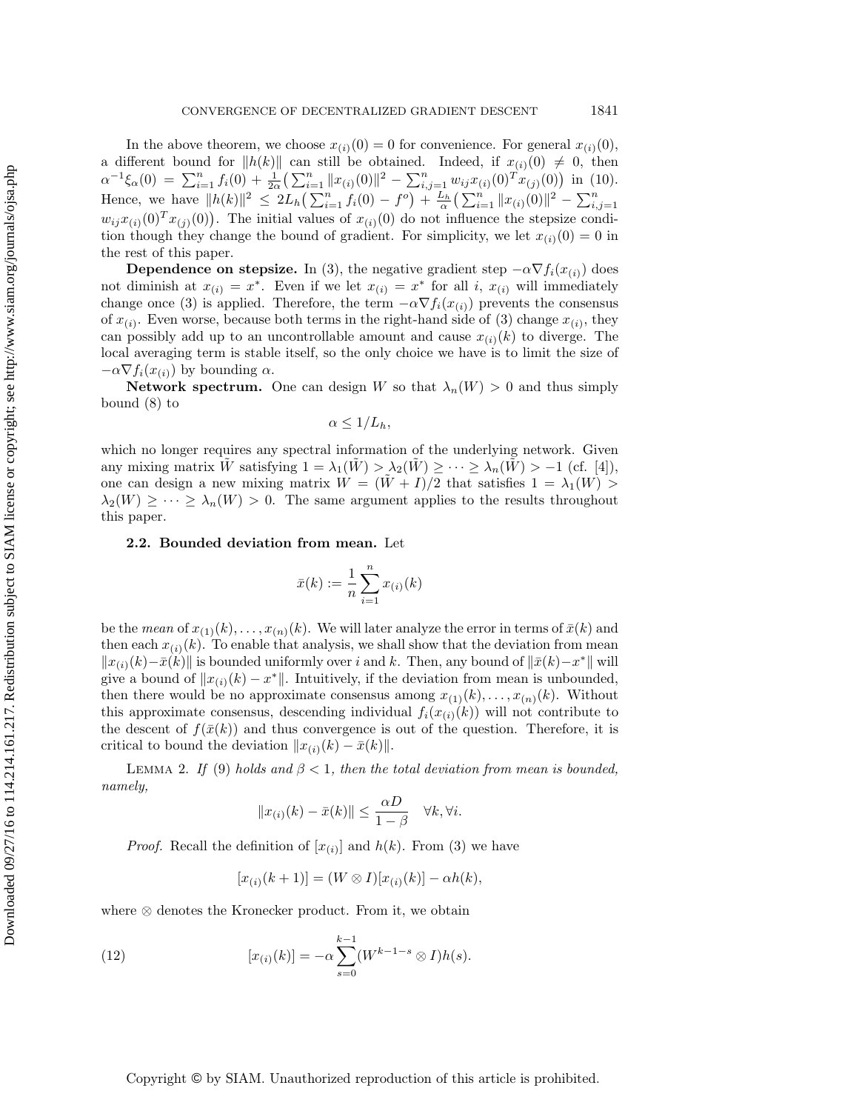In the above theorem, we choose  $x_{(i)}(0) = 0$  for convenience. For general  $x_{(i)}(0)$ , a different bound for  $||h(k)||$  can still be obtained. Indeed, if  $x_{(i)}(0) \neq 0$ , then  $\alpha^{-1}\xi_{\alpha}(0) = \sum_{i=1}^{n} f_i(0) + \frac{1}{2\alpha} \left( \sum_{i=1}^{n} ||x_{(i)}(0)||^2 - \sum_{i,j=1}^{n} w_{ij}x_{(i)}(0)^T x_{(j)}(0) \right)$  in [\(10\)](#page-5-1). Hence, we have  $||h(k)||^2 \leq 2L_h\left(\sum_{i=1}^n f_i(0) - f^o\right) + \frac{L_h}{\alpha}\left(\sum_{i=1}^n ||x_{(i)}(0)||^2 - \sum_{i,j=1}^n f_i(0) - f^o\right)$  $w_{ij}x_{(i)}(0)^Tx_{(j)}(0)$ . The initial values of  $x_{(i)}(0)$  do not influence the stepsize condition though they change the bound of gradient. For simplicity, we let  $x_{(i)}(0) = 0$  in the rest of this paper.

**Dependence on stepsize.** In [\(3\)](#page-1-1), the negative gradient step  $-\alpha \nabla f_i(x_{(i)})$  does not diminish at  $x_{(i)} = x^*$ . Even if we let  $x_{(i)} = x^*$  for all i,  $x_{(i)}$  will immediately change once [\(3\)](#page-1-1) is applied. Therefore, the term  $-\alpha \nabla f_i(x_{(i)})$  prevents the consensus of  $x_{(i)}$ . Even worse, because both terms in the right-hand side of [\(3\)](#page-1-1) change  $x_{(i)}$ , they can possibly add up to an uncontrollable amount and cause  $x_{(i)}(k)$  to diverge. The local averaging term is stable itself, so the only choice we have is to limit the size of  $-\alpha \nabla f_i(x_{(i)})$  by bounding  $\alpha$ .

**Network spectrum.** One can design W so that  $\lambda_n(W) > 0$  and thus simply bound [\(8\)](#page-5-2) to

$$
\alpha \leq 1/L_h,
$$

which no longer requires any spectral information of the underlying network. Given any mixing matrix W satisfying  $1 = \lambda_1(W) > \lambda_2(W) \geq \cdots \geq \lambda_n(W) > -1$  (cf. [\[4\]](#page-18-1)), one can design a new mixing matrix  $W = (W + I)/2$  that satisfies  $1 = \lambda_1(W) >$  $\lambda_2(W) \geq \cdots \geq \lambda_n(W) > 0$ . The same argument applies to the results throughout this paper.

### 2.2. Bounded deviation from mean. Let

$$
\bar{x}(k) := \frac{1}{n} \sum_{i=1}^{n} x_{(i)}(k)
$$

be the *mean* of  $x_{(1)}(k), \ldots, x_{(n)}(k)$ . We will later analyze the error in terms of  $\bar{x}(k)$  and then each  $x_{(i)}(k)$ . To enable that analysis, we shall show that the deviation from mean  $||x_{(i)}(k)-\bar{x}(k)||$  is bounded uniformly over i and k. Then, any bound of  $||\bar{x}(k)-x^*||$  will give a bound of  $||x_{(i)}(k) - x^*||$ . Intuitively, if the deviation from mean is unbounded, then there would be no approximate consensus among  $x_{(1)}(k), \ldots, x_{(n)}(k)$ . Without this approximate consensus, descending individual  $f_i(x_{(i)}(k))$  will not contribute to the descent of  $f(\bar{x}(k))$  and thus convergence is out of the question. Therefore, it is critical to bound the deviation  $||x_{(i)}(k) - \bar{x}(k)||$ .

<span id="page-6-0"></span>LEMMA 2. If [\(9\)](#page-5-0) holds and  $\beta < 1$ , then the total deviation from mean is bounded, namely,

$$
||x_{(i)}(k) - \bar{x}(k)|| \leq \frac{\alpha D}{1 - \beta} \quad \forall k, \forall i.
$$

*Proof.* Recall the definition of  $[x_{(i)}]$  and  $h(k)$ . From [\(3\)](#page-1-1) we have

$$
[x_{(i)}(k+1)] = (W \otimes I)[x_{(i)}(k)] - \alpha h(k),
$$

where ⊗ denotes the Kronecker product. From it, we obtain

(12) 
$$
[x_{(i)}(k)] = -\alpha \sum_{s=0}^{k-1} (W^{k-1-s} \otimes I)h(s).
$$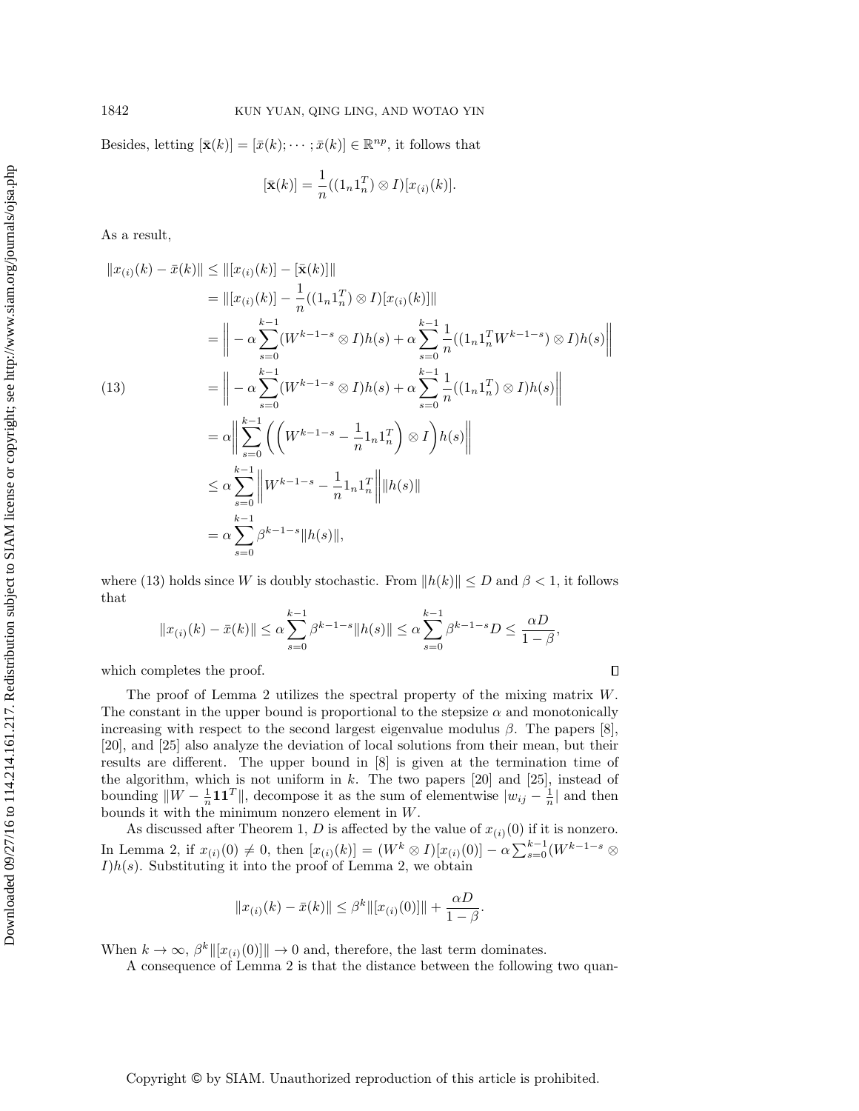Besides, letting  $[\bar{\mathbf{x}}(k)] = [\bar{x}(k); \cdots; \bar{x}(k)] \in \mathbb{R}^{np}$ , it follows that

$$
[\bar{\mathbf{x}}(k)] = \frac{1}{n}((1_n 1_n^T) \otimes I)[x_{(i)}(k)].
$$

As a result,

<span id="page-7-0"></span>
$$
||x_{(i)}(k) - \bar{x}(k)|| \le ||[x_{(i)}(k)] - [\bar{x}(k)]||
$$
  
\n
$$
= ||[x_{(i)}(k)] - \frac{1}{n}((1_n1_n^{T}) \otimes I)[x_{(i)}(k)]||
$$
  
\n
$$
= || -\alpha \sum_{s=0}^{k-1} (W^{k-1-s} \otimes I)h(s) + \alpha \sum_{s=0}^{k-1} \frac{1}{n}((1_n1_n^{T}W^{k-1-s}) \otimes I)h(s)||
$$
  
\n(13)  
\n
$$
= || -\alpha \sum_{s=0}^{k-1} (W^{k-1-s} \otimes I)h(s) + \alpha \sum_{s=0}^{k-1} \frac{1}{n}((1_n1_n^{T}) \otimes I)h(s)||
$$
  
\n
$$
= \alpha || \sum_{s=0}^{k-1} \left( \left( W^{k-1-s} - \frac{1}{n} 1_n 1_n^{T} \right) \otimes I \right)h(s)||
$$
  
\n
$$
\le \alpha \sum_{s=0}^{k-1} ||W^{k-1-s} - \frac{1}{n} 1_n 1_n^{T} ||h(s)||
$$
  
\n
$$
= \alpha \sum_{s=0}^{k-1} \beta^{k-1-s} ||h(s)||,
$$

where [\(13\)](#page-7-0) holds since W is doubly stochastic. From  $||h(k)|| \leq D$  and  $\beta < 1$ , it follows that

$$
||x_{(i)}(k) - \bar{x}(k)|| \le \alpha \sum_{s=0}^{k-1} \beta^{k-1-s} ||h(s)|| \le \alpha \sum_{s=0}^{k-1} \beta^{k-1-s} D \le \frac{\alpha D}{1-\beta},
$$

which completes the proof.

The proof of Lemma [2](#page-6-0) utilizes the spectral property of the mixing matrix W. The constant in the upper bound is proportional to the stepsize  $\alpha$  and monotonically increasing with respect to the second largest eigenvalue modulus  $\beta$ . The papers [\[8\]](#page-18-10), [\[20\]](#page-18-0), and [\[25\]](#page-19-11) also analyze the deviation of local solutions from their mean, but their results are different. The upper bound in [\[8\]](#page-18-10) is given at the termination time of the algorithm, which is not uniform in  $k$ . The two papers [\[20\]](#page-18-0) and [\[25\]](#page-19-11), instead of bounding  $||W - \frac{1}{n} \mathbf{1} \mathbf{1}^T||$ , decompose it as the sum of elementwise  $|w_{ij} - \frac{1}{n}|$  and then bounds it with the minimum nonzero element in W.

As discussed after Theorem [1,](#page-5-3) D is affected by the value of  $x_{(i)}(0)$  if it is nonzero. In Lemma [2,](#page-6-0) if  $x_{(i)}(0) \neq 0$ , then  $[x_{(i)}(k)] = (W^k \otimes I)[x_{(i)}(0)] - \alpha \sum_{s=0}^{k-1} (W^{k-1-s} \otimes$  $I)h(s)$ . Substituting it into the proof of Lemma [2,](#page-6-0) we obtain

$$
||x_{(i)}(k) - \bar{x}(k)|| \leq \beta^k ||[x_{(i)}(0)]|| + \frac{\alpha D}{1 - \beta}.
$$

When  $k \to \infty$ ,  $\beta^k \|[x_{(i)}(0)]\| \to 0$  and, therefore, the last term dominates.

A consequence of Lemma [2](#page-6-0) is that the distance between the following two quan-

Copyright © by SIAM. Unauthorized reproduction of this article is prohibited.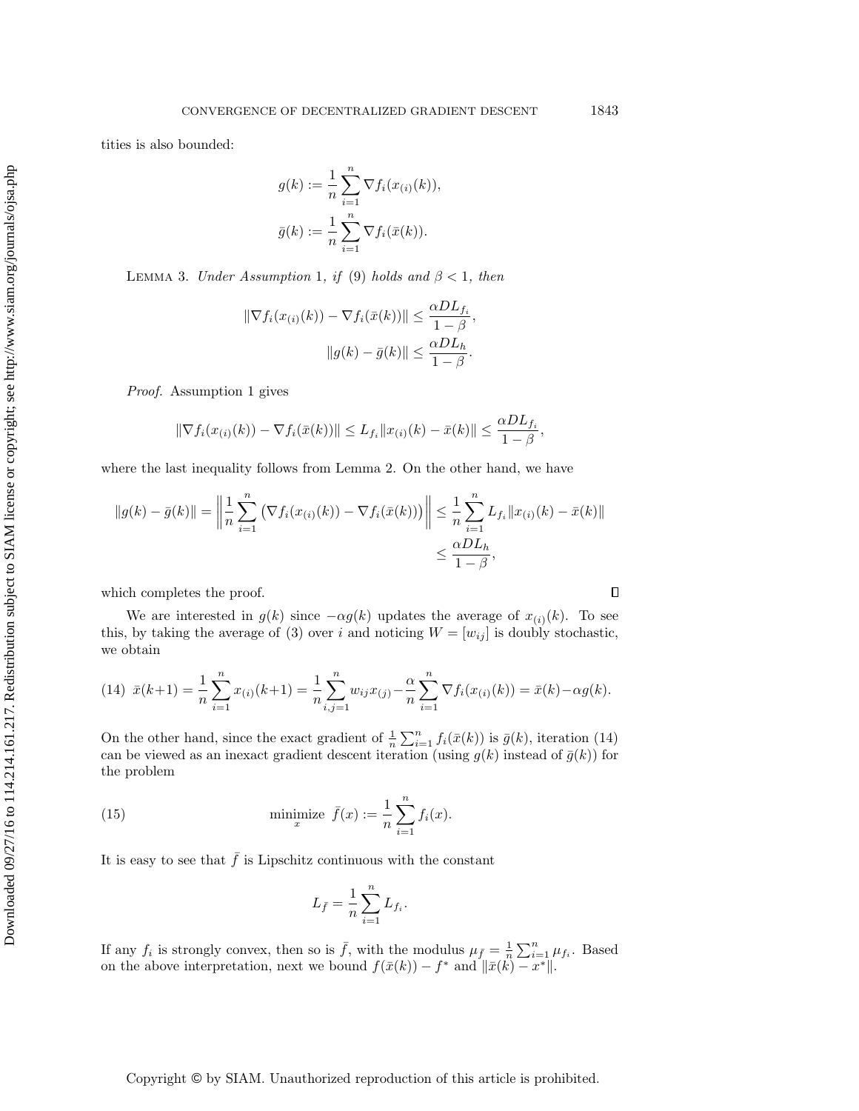tities is also bounded:

$$
g(k) := \frac{1}{n} \sum_{i=1}^{n} \nabla f_i(x_{(i)}(k)),
$$
  

$$
\bar{g}(k) := \frac{1}{n} \sum_{i=1}^{n} \nabla f_i(\bar{x}(k)).
$$

<span id="page-8-1"></span>LEMMA 3. Under Assumption [1](#page-2-2), if [\(9\)](#page-5-0) holds and  $\beta < 1$ , then

$$
\|\nabla f_i(x_{(i)}(k)) - \nabla f_i(\bar{x}(k))\| \le \frac{\alpha D L_{f_i}}{1 - \beta},
$$

$$
\|g(k) - \bar{g}(k)\| \le \frac{\alpha D L_h}{1 - \beta}.
$$

Proof. Assumption [1](#page-2-2) gives

$$
\|\nabla f_i(x_{(i)}(k)) - \nabla f_i(\bar{x}(k))\| \le L_{f_i} \|x_{(i)}(k) - \bar{x}(k)\| \le \frac{\alpha D L_{f_i}}{1 - \beta},
$$

where the last inequality follows from Lemma [2.](#page-6-0) On the other hand, we have

$$
||g(k) - \bar{g}(k)|| = \left\| \frac{1}{n} \sum_{i=1}^{n} \left( \nabla f_i(x_{(i)}(k)) - \nabla f_i(\bar{x}(k)) \right) \right\| \leq \frac{1}{n} \sum_{i=1}^{n} L_{f_i} ||x_{(i)}(k) - \bar{x}(k)||
$$
  

$$
\leq \frac{\alpha D L_h}{1 - \beta},
$$

which completes the proof.

We are interested in  $g(k)$  since  $-\alpha g(k)$  updates the average of  $x_{(i)}(k)$ . To see this, by taking the average of [\(3\)](#page-1-1) over i and noticing  $W = [w_{ij}]$  is doubly stochastic, we obtain

<span id="page-8-0"></span>(14) 
$$
\bar{x}(k+1) = \frac{1}{n} \sum_{i=1}^{n} x_{(i)}(k+1) = \frac{1}{n} \sum_{i,j=1}^{n} w_{ij} x_{(j)} - \frac{\alpha}{n} \sum_{i=1}^{n} \nabla f_i(x_{(i)}(k)) = \bar{x}(k) - \alpha g(k).
$$

On the other hand, since the exact gradient of  $\frac{1}{n}\sum_{i=1}^{n} f_i(\bar{x}(k))$  is  $\bar{g}(k)$ , iteration [\(14\)](#page-8-0) can be viewed as an inexact gradient descent iteration (using  $g(k)$  instead of  $\bar{g}(k)$ ) for the problem

(15) 
$$
\text{minimize } \bar{f}(x) := \frac{1}{n} \sum_{i=1}^{n} f_i(x).
$$

It is easy to see that  $\bar{f}$  is Lipschitz continuous with the constant

$$
L_{\bar{f}} = \frac{1}{n} \sum_{i=1}^{n} L_{f_i}.
$$

If any  $f_i$  is strongly convex, then so is  $\bar{f}$ , with the modulus  $\mu_{\bar{f}} = \frac{1}{n} \sum_{i=1}^n \mu_{f_i}$ . Based on the above interpretation, next we bound  $f(\bar{x}(k)) - f^*$  and  $\|\bar{x}(k) - x^*\|$ .

Copyright © by SIAM. Unauthorized reproduction of this article is prohibited.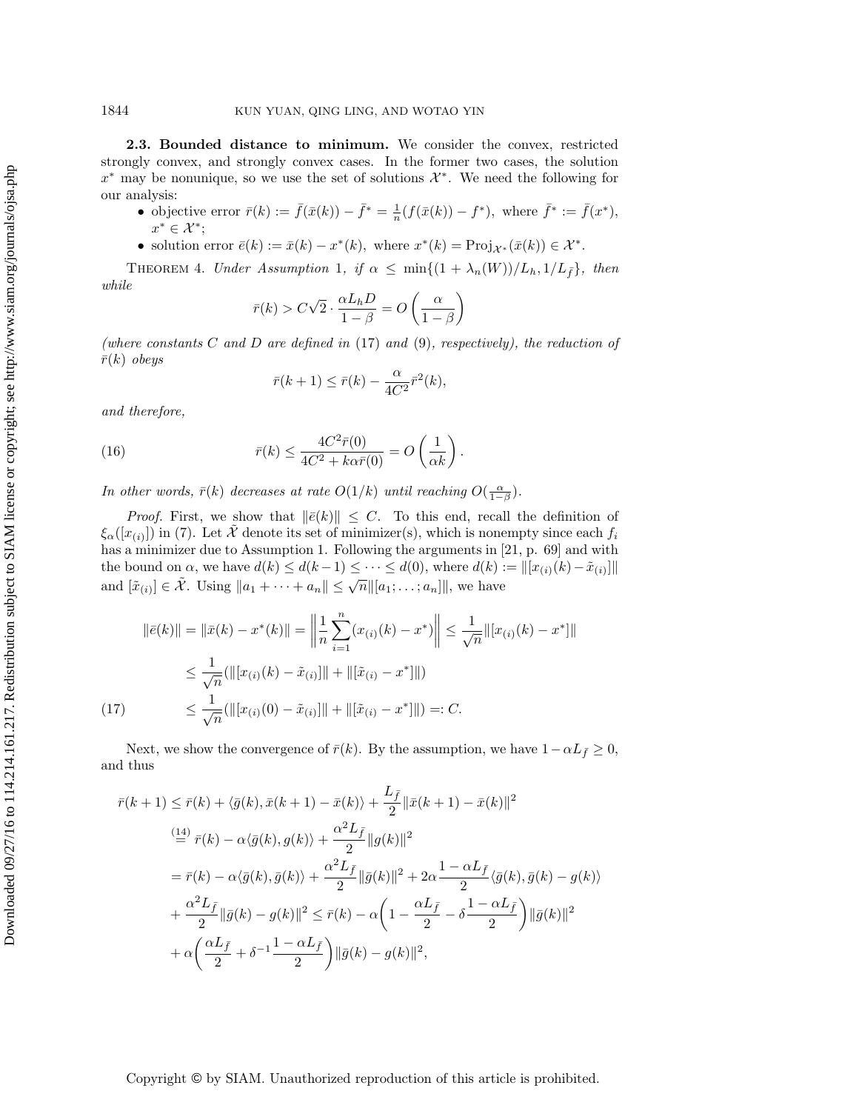<span id="page-9-2"></span>2.3. Bounded distance to minimum. We consider the convex, restricted strongly convex, and strongly convex cases. In the former two cases, the solution  $x^*$  may be nonunique, so we use the set of solutions  $\mathcal{X}^*$ . We need the following for our analysis:

- objective error  $\bar{r}(k) := \bar{f}(\bar{x}(k)) \bar{f}^* = \frac{1}{n}(f(\bar{x}(k)) f^*)$ , where  $\bar{f}^* := \bar{f}(x^*),$  $x^* \in \mathcal{X}^*$ ;
- solution error  $\bar{e}(k) := \bar{x}(k) x^*(k)$ , where  $x^*(k) = \text{Proj}_{\mathcal{X}^*}(\bar{x}(k)) \in \mathcal{X}^*$ .

<span id="page-9-1"></span>THEOREM 4. Under Assumption [1](#page-2-2), if  $\alpha \leq \min\{(1 + \lambda_n(W))/L_h, 1/L_{\bar{f}}\}\$ , then while

$$
\bar{r}(k) > C\sqrt{2} \cdot \frac{\alpha L_h D}{1 - \beta} = O\left(\frac{\alpha}{1 - \beta}\right)
$$

(where constants  $C$  and  $D$  are defined in [\(17\)](#page-9-0) and [\(9\)](#page-5-0), respectively), the reduction of  $\bar{r}(k)$  obeys

$$
\bar{r}(k+1) \le \bar{r}(k) - \frac{\alpha}{4C^2} \bar{r}^2(k),
$$

and therefore,

(16) 
$$
\bar{r}(k) \le \frac{4C^2 \bar{r}(0)}{4C^2 + k\alpha \bar{r}(0)} = O\left(\frac{1}{\alpha k}\right).
$$

In other words,  $\bar{r}(k)$  decreases at rate  $O(1/k)$  until reaching  $O(\frac{\alpha}{1-\beta})$ .

*Proof.* First, we show that  $\|\bar{e}(k)\| \leq C$ . To this end, recall the definition of  $\xi_{\alpha}([x_{(i)}])$  in [\(7\)](#page-4-0). Let  $\tilde{\mathcal{X}}$  denote its set of minimizer(s), which is nonempty since each  $f_i$ has a minimizer due to Assumption [1.](#page-2-2) Following the arguments in [\[21,](#page-18-17) p. 69] and with the bound on  $\alpha$ , we have  $d(k) \leq d(k-1) \leq \cdots \leq d(0)$ , where  $d(k) := ||[x_{(i)}(k) - \tilde{x}_{(i)}|||$ and  $[\tilde{x}_{(i)}] \in \tilde{\mathcal{X}}$ . Using  $||a_1 + \cdots + a_n|| \leq \sqrt{n} ||[a_1; \dots; a_n]||$ , we have

$$
\|\bar{e}(k)\| = \|\bar{x}(k) - x^*(k)\| = \left\|\frac{1}{n}\sum_{i=1}^n (x_{(i)}(k) - x^*)\right\| \le \frac{1}{\sqrt{n}} \|[x_{(i)}(k) - x^*]\|
$$
  

$$
\le \frac{1}{\sqrt{n}} (\|[x_{(i)}(k) - \tilde{x}_{(i)}]\| + \|[\tilde{x}_{(i)} - x^*]\|)
$$
  
(17) 
$$
\le \frac{1}{\sqrt{n}} (\|[x_{(i)}(0) - \tilde{x}_{(i)}]\| + \|[\tilde{x}_{(i)} - x^*]\|) =: C.
$$

<span id="page-9-0"></span>Next, we show the convergence of  $\bar{r}(k)$ . By the assumption, we have  $1-\alpha L_{\bar{f}}\geq 0$ , and thus

$$
\begin{split} \bar{r}(k+1) &\leq \bar{r}(k) + \langle \bar{g}(k), \bar{x}(k+1) - \bar{x}(k) \rangle + \frac{L_{\bar{f}}}{2} \|\bar{x}(k+1) - \bar{x}(k)\|^2 \\ &\stackrel{(14)}{=} \bar{r}(k) - \alpha \langle \bar{g}(k), g(k) \rangle + \frac{\alpha^2 L_{\bar{f}}}{2} \|g(k)\|^2 \\ &= \bar{r}(k) - \alpha \langle \bar{g}(k), \bar{g}(k) \rangle + \frac{\alpha^2 L_{\bar{f}}}{2} \|\bar{g}(k)\|^2 + 2\alpha \frac{1 - \alpha L_{\bar{f}}}{2} \langle \bar{g}(k), \bar{g}(k) - g(k) \rangle \\ &\quad + \frac{\alpha^2 L_{\bar{f}}}{2} \|\bar{g}(k) - g(k)\|^2 \leq \bar{r}(k) - \alpha \left(1 - \frac{\alpha L_{\bar{f}}}{2} - \delta \frac{1 - \alpha L_{\bar{f}}}{2}\right) \|\bar{g}(k)\|^2 \\ &\quad + \alpha \left(\frac{\alpha L_{\bar{f}}}{2} + \delta^{-1} \frac{1 - \alpha L_{\bar{f}}}{2}\right) \|\bar{g}(k) - g(k)\|^2, \end{split}
$$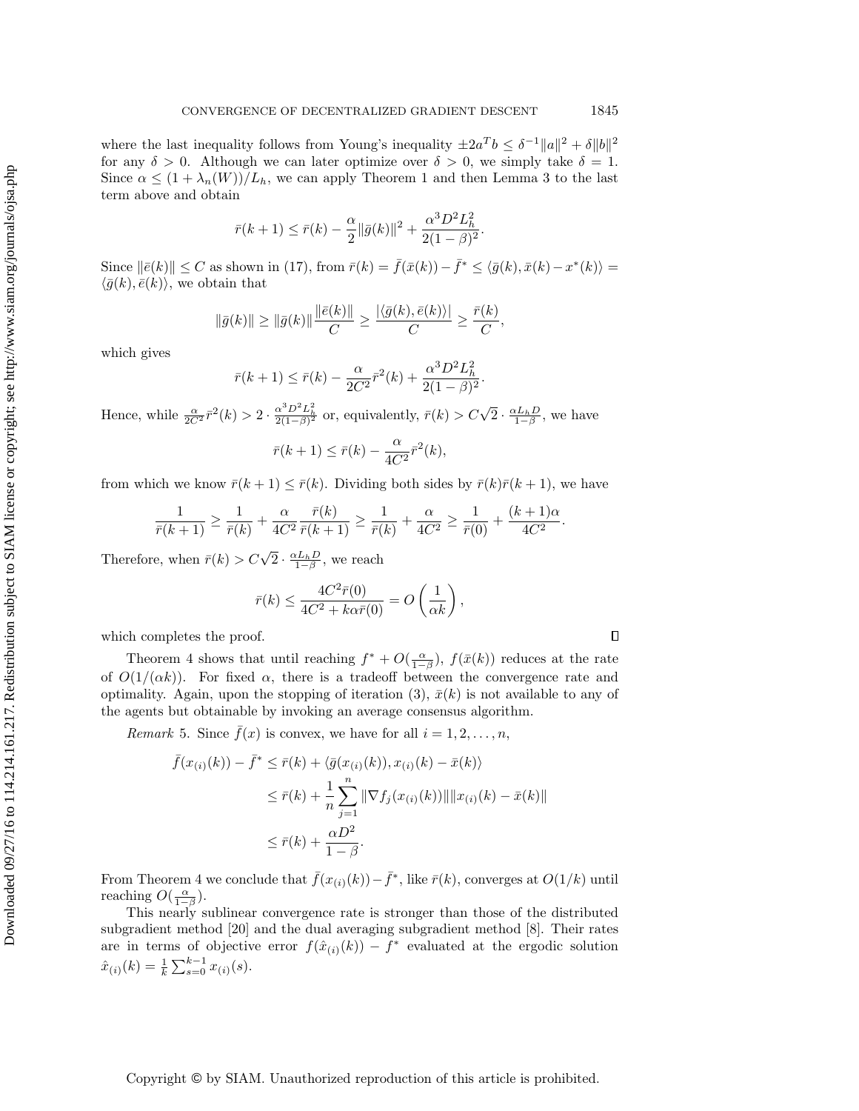where the last inequality follows from Young's inequality  $\pm 2a^Tb \leq \delta^{-1} ||a||^2 + \delta ||b||^2$ for any  $\delta > 0$ . Although we can later optimize over  $\delta > 0$ , we simply take  $\delta = 1$ . Since  $\alpha \leq (1 + \lambda_n(W))/L_h$ , we can apply Theorem [1](#page-5-3) and then Lemma [3](#page-8-1) to the last term above and obtain

$$
\bar{r}(k+1) \leq \bar{r}(k) - \frac{\alpha}{2} \|\bar{g}(k)\|^2 + \frac{\alpha^3 D^2 L_h^2}{2(1-\beta)^2}.
$$

Since  $\|\bar{e}(k)\| \leq C$  as shown in [\(17\)](#page-9-0), from  $\bar{r}(k) = \bar{f}(\bar{x}(k)) - \bar{f}^* \leq \langle \bar{g}(k), \bar{x}(k) - x^*(k) \rangle =$  $\langle \bar{g}(k), \bar{e}(k)\rangle$ , we obtain that

$$
\|\bar{g}(k)\| \ge \|\bar{g}(k)\| \frac{\|\bar{e}(k)\|}{C} \ge \frac{|\langle \bar{g}(k), \bar{e}(k)\rangle|}{C} \ge \frac{\bar{r}(k)}{C},
$$

which gives

$$
\bar{r}(k+1) \le \bar{r}(k) - \frac{\alpha}{2C^2} \bar{r}^2(k) + \frac{\alpha^3 D^2 L_h^2}{2(1-\beta)^2}.
$$

Hence, while  $\frac{\alpha}{2C^2} \bar{r}^2(k) > 2 \cdot \frac{\alpha^3 D^2 L_h^2}{2(1-\beta)^2}$  or, equivalently,  $\bar{r}(k) > C\sqrt{2} \cdot \frac{\alpha L_h D}{1-\beta}$ , we have

$$
\bar{r}(k+1) \le \bar{r}(k) - \frac{\alpha}{4C^2} \bar{r}^2(k),
$$

from which we know  $\bar{r}(k+1) \leq \bar{r}(k)$ . Dividing both sides by  $\bar{r}(k)\bar{r}(k+1)$ , we have

$$
\frac{1}{\bar{r}(k+1)} \ge \frac{1}{\bar{r}(k)} + \frac{\alpha}{4C^2} \frac{\bar{r}(k)}{\bar{r}(k+1)} \ge \frac{1}{\bar{r}(k)} + \frac{\alpha}{4C^2} \ge \frac{1}{\bar{r}(0)} + \frac{(k+1)\alpha}{4C^2}.
$$

Therefore, when  $\bar{r}(k) > C\sqrt{2} \cdot \frac{\alpha L_h D}{1 - \beta}$ , we reach

$$
\bar{r}(k) \le \frac{4C^2 \bar{r}(0)}{4C^2 + k\alpha \bar{r}(0)} = O\left(\frac{1}{\alpha k}\right),\,
$$

which completes the proof.

Theorem [4](#page-9-1) shows that until reaching  $f^* + O(\frac{\alpha}{1-\beta})$ ,  $f(\bar{x}(k))$  reduces at the rate of  $O(1/(\alpha k))$ . For fixed  $\alpha$ , there is a tradeoff between the convergence rate and optimality. Again, upon the stopping of iteration [\(3\)](#page-1-1),  $\bar{x}(k)$  is not available to any of the agents but obtainable by invoking an average consensus algorithm.

<span id="page-10-0"></span>*Remark* 5. Since  $f(x)$  is convex, we have for all  $i = 1, 2, \ldots, n$ ,

$$
\bar{f}(x_{(i)}(k)) - \bar{f}^* \leq \bar{r}(k) + \langle \bar{g}(x_{(i)}(k)), x_{(i)}(k) - \bar{x}(k) \rangle
$$
  

$$
\leq \bar{r}(k) + \frac{1}{n} \sum_{j=1}^n \|\nabla f_j(x_{(i)}(k))\| \|x_{(i)}(k) - \bar{x}(k)\|
$$
  

$$
\leq \bar{r}(k) + \frac{\alpha D^2}{1 - \beta}.
$$

From Theorem [4](#page-9-1) we conclude that  $\bar{f}(x_{(i)}(k)) - \bar{f}^*$ , like  $\bar{r}(k)$ , converges at  $O(1/k)$  until reaching  $O(\frac{\alpha}{1-\beta})$ .

This nearly sublinear convergence rate is stronger than those of the distributed subgradient method [\[20\]](#page-18-0) and the dual averaging subgradient method [\[8\]](#page-18-10). Their rates are in terms of objective error  $f(\hat{x}_{(i)}(k)) - f^*$  evaluated at the ergodic solution  $\hat{x}_{(i)}(k) = \frac{1}{k} \sum_{s=0}^{k-1} x_{(i)}(s).$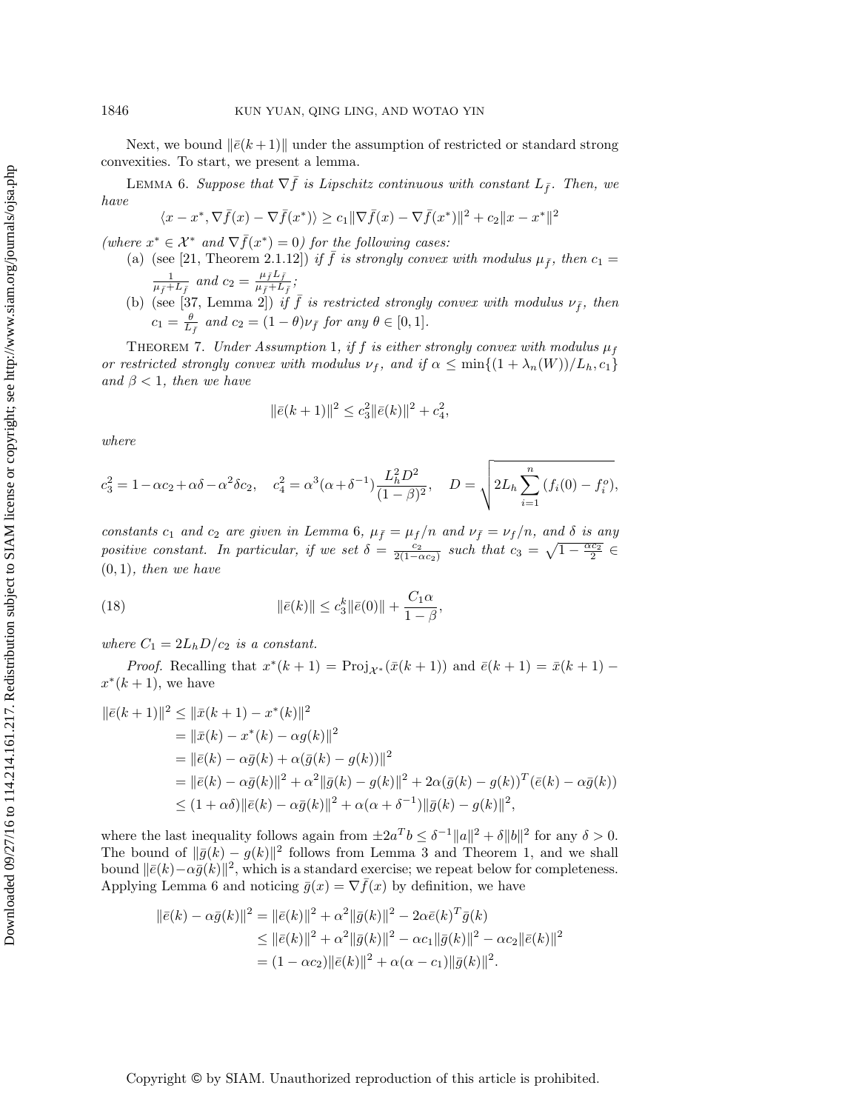Next, we bound  $\|\bar{e}(k + 1)\|$  under the assumption of restricted or standard strong convexities. To start, we present a lemma.

<span id="page-11-0"></span>LEMMA 6. Suppose that  $\nabla \bar{f}$  is Lipschitz continuous with constant  $L_{\bar{f}}$ . Then, we have

$$
\langle x - x^*, \nabla \bar{f}(x) - \nabla \bar{f}(x^*) \rangle \ge c_1 \|\nabla \bar{f}(x) - \nabla \bar{f}(x^*)\|^2 + c_2 \|x - x^*\|^2
$$

(where  $x^* \in \mathcal{X}^*$  and  $\nabla \bar{f}(x^*) = 0$ ) for the following cases:

- (a) (see [\[21,](#page-18-17) Theorem 2.1.12]) if f is strongly convex with modulus  $\mu_{\bar{f}}$ , then  $c_1 =$  $\frac{1}{\mu_{\bar{f}}+L_{\bar{f}}}$  and  $c_2=\frac{\mu_{\bar{f}}L_{\bar{f}}}{\mu_{\bar{f}}+L_{\bar{f}}}$  $\frac{\mu_f \mu_f}{\mu_{\bar{f}}+L_{\bar{f}}};$
- (b) (see [\[37,](#page-19-12) Lemma 2]) if  $\bar{f}$  is restricted strongly convex with modulus  $\nu_{\bar{f}}$ , then  $c_1 = \frac{\theta}{L_{\bar{f}}}$  and  $c_2 = (1 - \theta)\nu_{\bar{f}}$  for any  $\theta \in [0, 1]$ .

<span id="page-11-1"></span>THEOREM 7. Under Assumption [1](#page-2-2), if f is either strongly convex with modulus  $\mu_f$ or restricted strongly convex with modulus  $\nu_f$ , and if  $\alpha \leq \min\{(1 + \lambda_n(W))/L_h, c_1\}$ and  $\beta$  < 1, then we have

$$
\|\bar{e}(k+1)\|^2 \le c_3^2 \|\bar{e}(k)\|^2 + c_4^2,
$$

where

$$
c_3^2 = 1 - \alpha c_2 + \alpha \delta - \alpha^2 \delta c_2
$$
,  $c_4^2 = \alpha^3 (\alpha + \delta^{-1}) \frac{L_h^2 D^2}{(1 - \beta)^2}$ ,  $D = \sqrt{2L_h \sum_{i=1}^n (f_i(0) - f_i^o)}$ ,

constants  $c_1$  and  $c_2$  are given in Lemma [6](#page-11-0),  $\mu_{\bar{f}} = \mu_f/n$  and  $\nu_{\bar{f}} = \nu_f/n$ , and  $\delta$  is any positive constant. In particular, if we set  $\delta = \frac{c_2}{2(1-\alpha c_2)}$  such that  $c_3 = \sqrt{1-\frac{\alpha c_2}{2}} \in$  $(0, 1)$ , then we have

(18) 
$$
\|\bar{e}(k)\| \le c_3^k \|\bar{e}(0)\| + \frac{C_1 \alpha}{1 - \beta},
$$

where  $C_1 = 2L_h D/c_2$  is a constant.

*Proof.* Recalling that  $x^*(k+1) = \text{Proj}_{\mathcal{X}^*}(\bar{x}(k+1))$  and  $\bar{e}(k+1) = \bar{x}(k+1)$  $x^*(k+1)$ , we have

$$
\|\bar{e}(k+1)\|^2 \le \|\bar{x}(k+1) - x^*(k)\|^2
$$
  
=  $\|\bar{x}(k) - x^*(k) - \alpha g(k)\|^2$   
=  $\|\bar{e}(k) - \alpha \bar{g}(k) + \alpha (\bar{g}(k) - g(k))\|^2$   
=  $\|\bar{e}(k) - \alpha \bar{g}(k)\|^2 + \alpha^2 \|\bar{g}(k) - g(k)\|^2 + 2\alpha (\bar{g}(k) - g(k))^T (\bar{e}(k) - \alpha \bar{g}(k))$   
 $\le (1 + \alpha \delta) \|\bar{e}(k) - \alpha \bar{g}(k)\|^2 + \alpha (\alpha + \delta^{-1}) \|\bar{g}(k) - g(k)\|^2,$ 

where the last inequality follows again from  $\pm 2a^Tb \leq \delta^{-1} ||a||^2 + \delta ||b||^2$  for any  $\delta > 0$ . The bound of  $\|\bar{g}(k) - g(k)\|^2$  follows from Lemma [3](#page-8-1) and Theorem [1,](#page-5-3) and we shall bound  $\|\bar{e}(k) - \alpha \bar{g}(k)\|^2$ , which is a standard exercise; we repeat below for completeness. Applying Lemma [6](#page-11-0) and noticing  $\bar{g}(x) = \nabla \bar{f}(x)$  by definition, we have

$$
\|\bar{e}(k) - \alpha \bar{g}(k)\|^2 = \|\bar{e}(k)\|^2 + \alpha^2 \|\bar{g}(k)\|^2 - 2\alpha \bar{e}(k)^T \bar{g}(k)
$$
  
\n
$$
\leq \|\bar{e}(k)\|^2 + \alpha^2 \|\bar{g}(k)\|^2 - \alpha c_1 \|\bar{g}(k)\|^2 - \alpha c_2 \|\bar{e}(k)\|^2
$$
  
\n
$$
= (1 - \alpha c_2) \|\bar{e}(k)\|^2 + \alpha(\alpha - c_1) \|\bar{g}(k)\|^2.
$$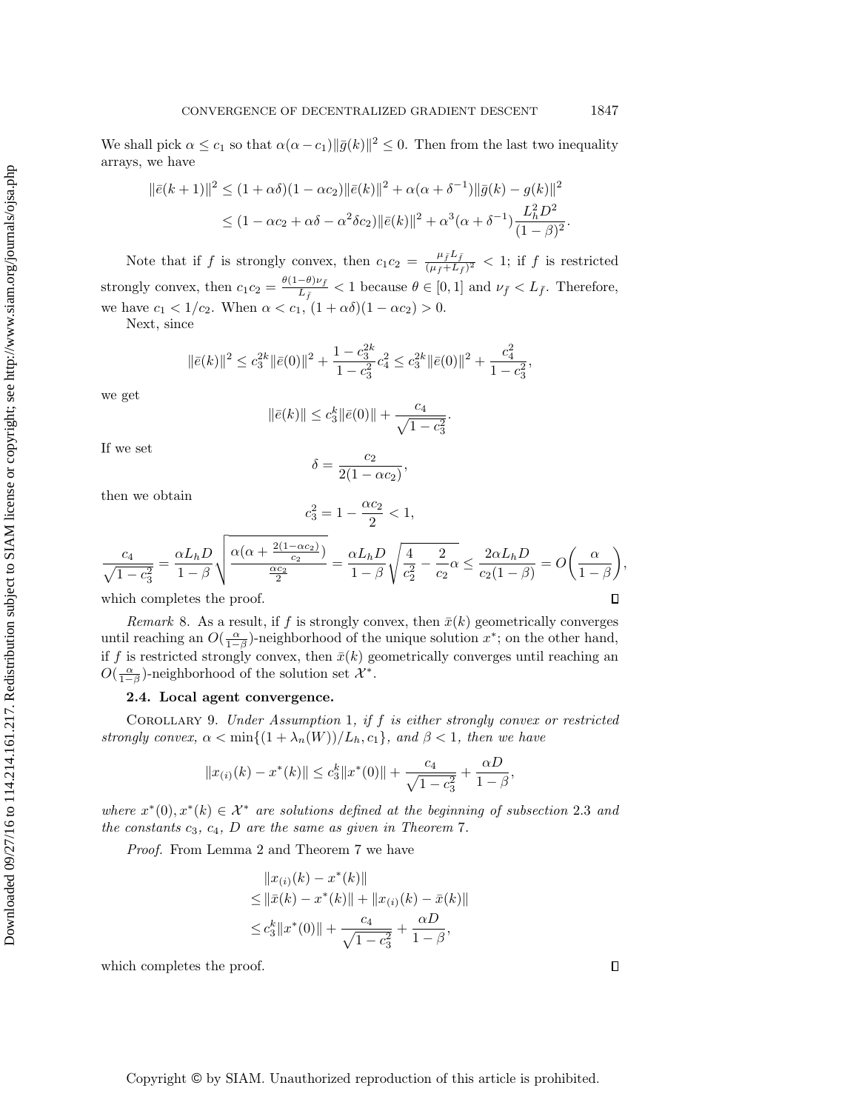We shall pick  $\alpha \leq c_1$  so that  $\alpha(\alpha - c_1) \|\bar{g}(k)\|^2 \leq 0$ . Then from the last two inequality arrays, we have

$$
\|\bar{e}(k+1)\|^2 \le (1+\alpha\delta)(1-\alpha c_2)\|\bar{e}(k)\|^2 + \alpha(\alpha+\delta^{-1})\|\bar{g}(k) - g(k)\|^2
$$
  

$$
\le (1-\alpha c_2+\alpha\delta-\alpha^2\delta c_2)\|\bar{e}(k)\|^2 + \alpha^3(\alpha+\delta^{-1})\frac{L_h^2 D^2}{(1-\beta)^2}.
$$

Note that if f is strongly convex, then  $c_1 c_2 = \frac{\mu_f L_f}{(\mu_f + L_f)}$  $\frac{\mu_f \mu_f}{(\mu_f+L_f)^2}$  < 1; if f is restricted strongly convex, then  $c_1 c_2 = \frac{\theta(1-\theta)\nu_{\bar{f}}}{L_{\bar{g}}}$  $\frac{-\sigma_j \nu_{\bar{f}}}{L_{\bar{f}}}$  < 1 because  $\theta \in [0,1]$  and  $\nu_{\bar{f}} < L_{\bar{f}}$ . Therefore, we have  $c_1 < 1/c_2$ . When  $\alpha < c_1$ ,  $(1 + \alpha \delta)(1 - \alpha c_2) > 0$ .

Next, since

$$
\|\bar{e}(k)\|^2 \le c_3^{2k} \|\bar{e}(0)\|^2 + \frac{1 - c_3^{2k}}{1 - c_3^2} c_4^2 \le c_3^{2k} \|\bar{e}(0)\|^2 + \frac{c_4^2}{1 - c_3^2},
$$

we get

$$
\|\bar{e}(k)\| \leq c_3^k \|\bar{e}(0)\| + \frac{c_4}{\sqrt{1-c_3^2}}.
$$

If we set

$$
\delta = \frac{c_2}{2(1 - \alpha c_2)},
$$

then we obtain

$$
c_3^2 = 1 - \frac{\alpha c_2}{2} < 1,
$$

$$
\frac{c_4}{\sqrt{1-c_3^2}} = \frac{\alpha L_h D}{1-\beta} \sqrt{\frac{\alpha(\alpha + \frac{2(1-\alpha c_2)}{c_2})}{\frac{\alpha c_2}{2}}} = \frac{\alpha L_h D}{1-\beta} \sqrt{\frac{4}{c_2^2} - \frac{2}{c_2} \alpha} \le \frac{2\alpha L_h D}{c_2(1-\beta)} = O\left(\frac{\alpha}{1-\beta}\right),
$$
  
which completes the proof.

which completes the proof.

Remark 8. As a result, if f is strongly convex, then  $\bar{x}(k)$  geometrically converges until reaching an  $O(\frac{\alpha}{1-\beta})$ -neighborhood of the unique solution  $x^*$ ; on the other hand, if f is restricted strongly convex, then  $\bar{x}(k)$  geometrically converges until reaching an  $O(\frac{\alpha}{1-\beta})$ -neighborhood of the solution set  $\mathcal{X}^*$ .

### 2.4. Local agent convergence.

<span id="page-12-0"></span>COROLLARY 9. Under Assumption [1](#page-2-2), if  $f$  is either strongly convex or restricted strongly convex,  $\alpha < \min\{(1 + \lambda_n(W))/L_h, c_1\}$ , and  $\beta < 1$ , then we have

$$
||x_{(i)}(k) - x^*(k)|| \le c_3^k ||x^*(0)|| + \frac{c_4}{\sqrt{1 - c_3^2}} + \frac{\alpha D}{1 - \beta},
$$

where  $x^*(0), x^*(k) \in \mathcal{X}^*$  are solutions defined at the beginning of subsection [2](#page-9-2).3 and the constants  $c_3, c_4, D$  are the same as given in Theorem [7](#page-11-1).

Proof. From Lemma [2](#page-6-0) and Theorem [7](#page-11-1) we have

$$
||x_{(i)}(k) - x^*(k)||
$$
  
\n
$$
\leq ||\bar{x}(k) - x^*(k)|| + ||x_{(i)}(k) - \bar{x}(k)||
$$
  
\n
$$
\leq c_3^k ||x^*(0)|| + \frac{c_4}{\sqrt{1 - c_3^2}} + \frac{\alpha D}{1 - \beta},
$$

which completes the proof.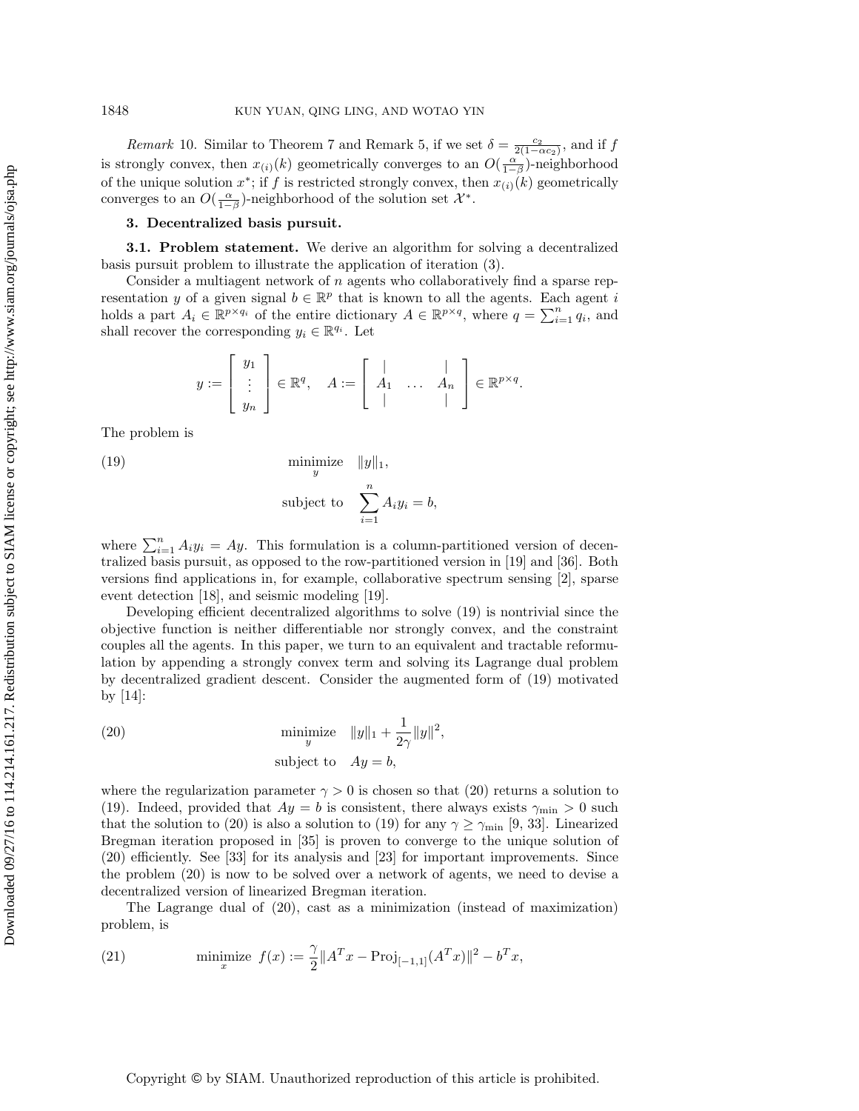*Remark* 10. Similar to Theorem [7](#page-11-1) and Remark [5,](#page-10-0) if we set  $\delta = \frac{c_2}{2(1-\alpha c_2)}$ , and if f is strongly convex, then  $x_{(i)}(k)$  geometrically converges to an  $O(\frac{\alpha}{1-\beta})$ -neighborhood of the unique solution  $x^*$ ; if f is restricted strongly convex, then  $x_{(i)}(k)$  geometrically converges to an  $O(\frac{\alpha}{1-\beta})$ -neighborhood of the solution set  $\mathcal{X}^*$ .

## <span id="page-13-0"></span>3. Decentralized basis pursuit.

3.1. Problem statement. We derive an algorithm for solving a decentralized basis pursuit problem to illustrate the application of iteration [\(3\)](#page-1-1).

Consider a multiagent network of  $n$  agents who collaboratively find a sparse representation y of a given signal  $b \in \mathbb{R}^p$  that is known to all the agents. Each agent i holds a part  $A_i \in \mathbb{R}^{p \times q_i}$  of the entire dictionary  $A \in \mathbb{R}^{p \times q}$ , where  $q = \sum_{i=1}^n q_i$ , and shall recover the corresponding  $y_i \in \mathbb{R}^{q_i}$ . Let

$$
y := \begin{bmatrix} y_1 \\ \vdots \\ y_n \end{bmatrix} \in \mathbb{R}^q, \quad A := \begin{bmatrix} | & & | \\ A_1 & \dots & A_n \\ | & & | \end{bmatrix} \in \mathbb{R}^{p \times q}.
$$

The problem is

<span id="page-13-1"></span>(19) 
$$
\begin{array}{ccc}\n\text{minimize} & ||y||_1, \\
y\n\end{array}
$$

subject to 
$$
\sum_{i=1}^{n} A_i y_i = b,
$$

where  $\sum_{i=1}^{n} A_i y_i = A y$ . This formulation is a column-partitioned version of decentralized basis pursuit, as opposed to the row-partitioned version in [\[19\]](#page-18-18) and [\[36\]](#page-19-13). Both versions find applications in, for example, collaborative spectrum sensing [\[2\]](#page-18-8), sparse event detection [\[18\]](#page-18-19), and seismic modeling [\[19\]](#page-18-18).

Developing efficient decentralized algorithms to solve [\(19\)](#page-13-1) is nontrivial since the objective function is neither differentiable nor strongly convex, and the constraint couples all the agents. In this paper, we turn to an equivalent and tractable reformulation by appending a strongly convex term and solving its Lagrange dual problem by decentralized gradient descent. Consider the augmented form of [\(19\)](#page-13-1) motivated by [\[14\]](#page-18-15):

<span id="page-13-2"></span>(20) 
$$
\begin{aligned}\n\text{minimize} & \|y\|_1 + \frac{1}{2\gamma} \|y\|^2, \\
\text{subject to} & A y = b,\n\end{aligned}
$$

where the regularization parameter  $\gamma > 0$  is chosen so that [\(20\)](#page-13-2) returns a solution to [\(19\)](#page-13-1). Indeed, provided that  $Ay = b$  is consistent, there always exists  $\gamma_{\min} > 0$  such that the solution to [\(20\)](#page-13-2) is also a solution to [\(19\)](#page-13-1) for any  $\gamma \ge \gamma_{\min}$  [\[9,](#page-18-20) [33\]](#page-19-14). Linearized Bregman iteration proposed in [\[35\]](#page-19-15) is proven to converge to the unique solution of [\(20\)](#page-13-2) efficiently. See [\[33\]](#page-19-14) for its analysis and [\[23\]](#page-19-16) for important improvements. Since the problem [\(20\)](#page-13-2) is now to be solved over a network of agents, we need to devise a decentralized version of linearized Bregman iteration.

The Lagrange dual of [\(20\)](#page-13-2), cast as a minimization (instead of maximization) problem, is

<span id="page-13-3"></span>(21) 
$$
\text{minimize } f(x) := \frac{\gamma}{2} \|A^T x - \text{Proj}_{[-1,1]}(A^T x)\|^2 - b^T x,
$$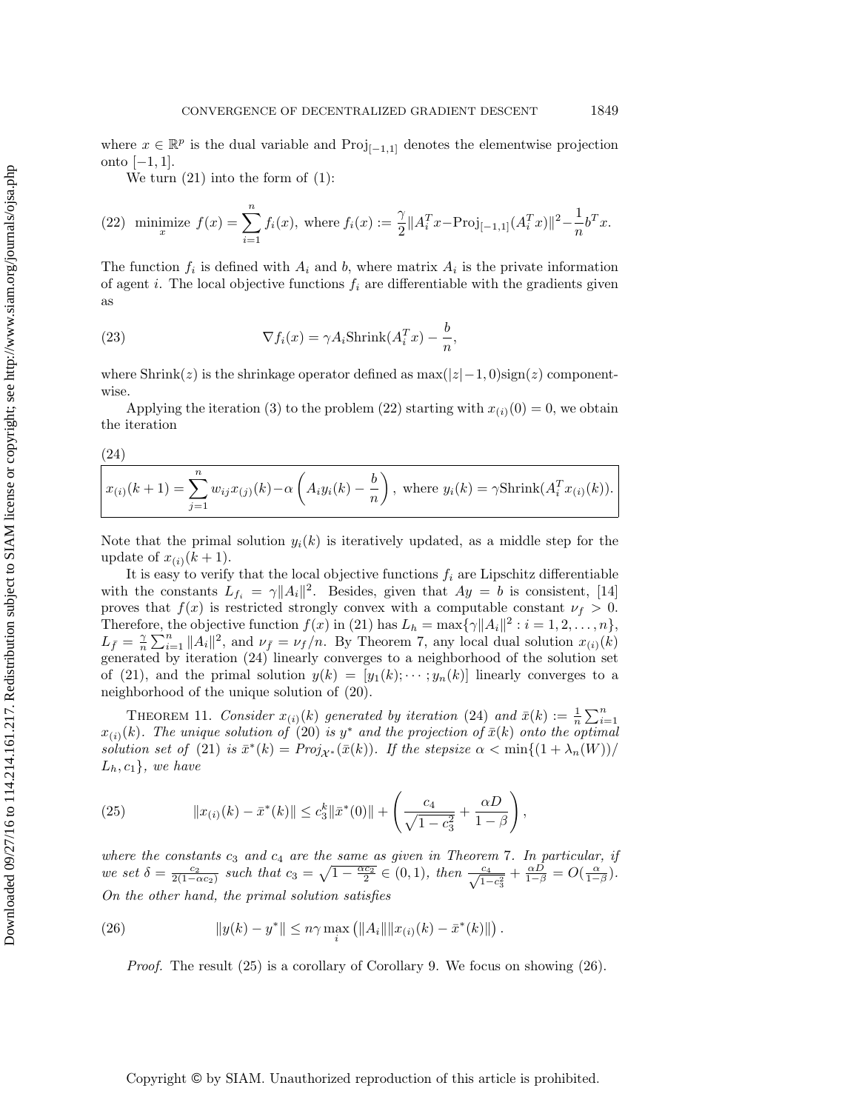where  $x \in \mathbb{R}^p$  is the dual variable and  $\text{Proj}_{[-1,1]}$  denotes the elementwise projection onto  $[-1, 1]$ .

We turn  $(21)$  into the form of  $(1)$ :

<span id="page-14-0"></span>(22) minimize 
$$
f(x) = \sum_{i=1}^{n} f_i(x)
$$
, where  $f_i(x) := \frac{\gamma}{2} ||A_i^T x - \text{Proj}_{[-1,1]}(A_i^T x)||^2 - \frac{1}{n} b^T x$ .

The function  $f_i$  is defined with  $A_i$  and b, where matrix  $A_i$  is the private information of agent i. The local objective functions  $f_i$  are differentiable with the gradients given as

(23) 
$$
\nabla f_i(x) = \gamma A_i \text{Shrink}(A_i^T x) - \frac{b}{n},
$$

where Shrink(z) is the shrinkage operator defined as  $\max(|z|-1, 0)$ sign(z) componentwise.

Applying the iteration [\(3\)](#page-1-1) to the problem [\(22\)](#page-14-0) starting with  $x_{(i)}(0) = 0$ , we obtain the iteration

<span id="page-14-1"></span>(24)

$$
x_{(i)}(k+1) = \sum_{j=1}^{n} w_{ij} x_{(j)}(k) - \alpha \left( A_i y_i(k) - \frac{b}{n} \right), \text{ where } y_i(k) = \gamma \text{Shrink}(A_i^T x_{(i)}(k)).
$$

Note that the primal solution  $y_i(k)$  is iteratively updated, as a middle step for the update of  $x_{(i)}(k+1)$ .

It is easy to verify that the local objective functions  $f_i$  are Lipschitz differentiable with the constants  $L_{f_i} = \gamma ||A_i||^2$ . Besides, given that  $Ay = b$  is consistent, [\[14\]](#page-18-15) proves that  $f(x)$  is restricted strongly convex with a computable constant  $\nu_f > 0$ . Therefore, the objective function  $f(x)$  in [\(21\)](#page-13-3) has  $L_h = \max{\lbrace \gamma || A_i ||^2 : i = 1, 2, \ldots, n \rbrace}$ ,  $L_{\bar{f}} = \frac{\gamma}{n} \sum_{i=1}^{n} ||A_i||^2$ , and  $\nu_{\bar{f}} = \nu_f/n$ . By Theorem [7,](#page-11-1) any local dual solution  $x_{(i)}(k)$ generated by iteration [\(24\)](#page-14-1) linearly converges to a neighborhood of the solution set of [\(21\)](#page-13-3), and the primal solution  $y(k) = [y_1(k); \cdots; y_n(k)]$  linearly converges to a neighborhood of the unique solution of [\(20\)](#page-13-2).

<span id="page-14-4"></span>THEOREM 11. Consider  $x_{(i)}(k)$  generated by iteration [\(24\)](#page-14-1) and  $\bar{x}(k) := \frac{1}{n} \sum_{i=1}^{n}$  $x_{(i)}(k)$ . The unique solution of  $(20)$  is  $y^*$  and the projection of  $\bar{x}(k)$  onto the optimal solution set of [\(21\)](#page-13-3) is  $\bar{x}^*(k) = Proj_{\mathcal{X}^*}(\bar{x}(k))$ . If the stepsize  $\alpha < \min\{(1 + \lambda_n(W))/\}$  $L_h, c_1$ , we have

<span id="page-14-2"></span>(25) 
$$
||x_{(i)}(k) - \bar{x}^*(k)|| \leq c_3^k ||\bar{x}^*(0)|| + \left(\frac{c_4}{\sqrt{1-c_3^2}} + \frac{\alpha D}{1-\beta}\right),
$$

where the constants  $c_3$  and  $c_4$  are the same as given in Theorem [7](#page-11-1). In particular, if we set  $\delta = \frac{c_2}{2(1-\alpha c_2)}$  such that  $c_3 = \sqrt{1-\frac{\alpha c_2}{2}} \in (0,1)$ , then  $\frac{c_4}{\sqrt{1-c_3^2}} + \frac{\alpha D}{1-\beta} = O(\frac{\alpha}{1-\beta})$ . On the other hand, the primal solution satisfies

<span id="page-14-3"></span>(26) 
$$
||y(k) - y^*|| \leq n\gamma \max_i (||A_i|| ||x_{(i)}(k) - \bar{x}^*(k)||).
$$

*Proof.* The result  $(25)$  is a corollary of Corollary [9.](#page-12-0) We focus on showing  $(26)$ .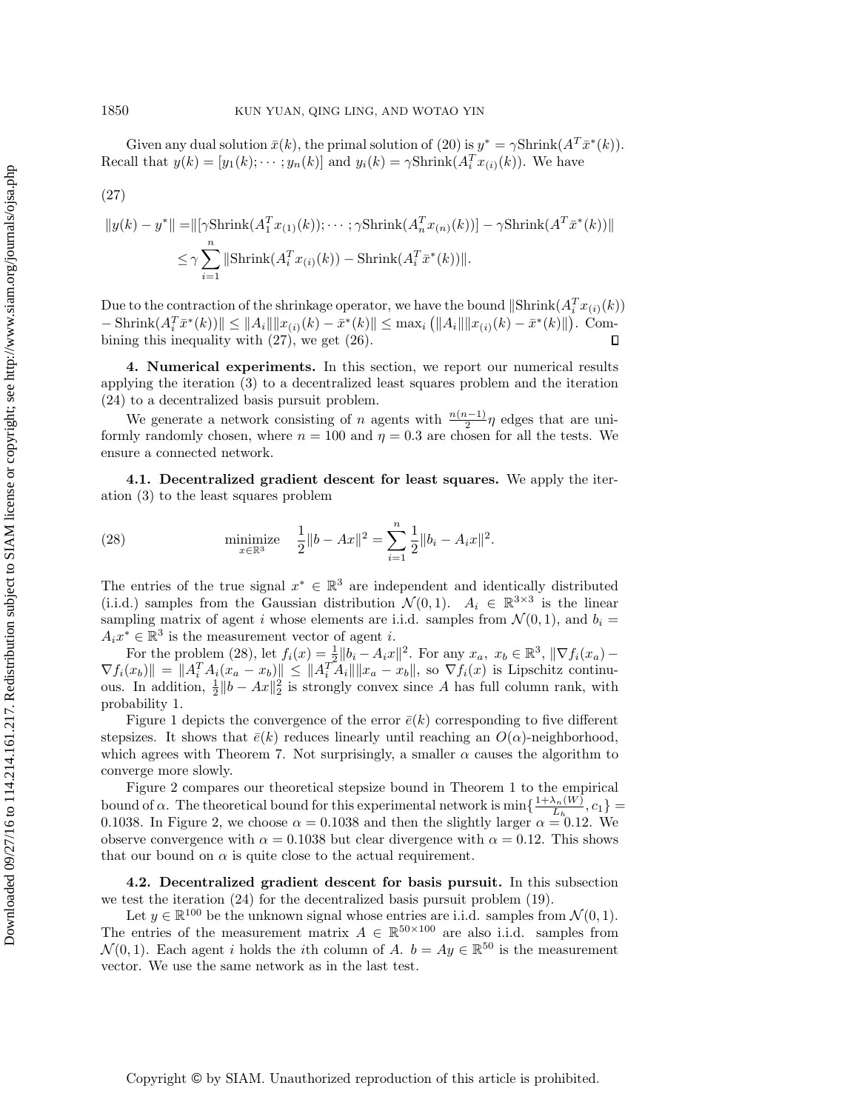Given any dual solution  $\bar{x}(k)$ , the primal solution of [\(20\)](#page-13-2) is  $y^* = \gamma \text{Shrink}(A^T \bar{x}^*(k)).$ Recall that  $y(k) = [y_1(k); \dots; y_n(k)]$  and  $y_i(k) = \gamma \text{Shrink}(A_i^T x_{(i)}(k))$ . We have

<span id="page-15-1"></span>
$$
(27)
$$

$$
||y(k) - y^*|| = ||[\gamma \text{Shrink}(A_1^T x_{(1)}(k)); \cdots; \gamma \text{Shrink}(A_n^T x_{(n)}(k))] - \gamma \text{Shrink}(A^T \bar{x}^*(k))||
$$
  

$$
\leq \gamma \sum_{i=1}^n ||\text{Shrink}(A_i^T x_{(i)}(k)) - \text{Shrink}(A_i^T \bar{x}^*(k))||.
$$

Due to the contraction of the shrinkage operator, we have the bound  $\|\text{Shrink}(A_i^Tx_{(i)}(k))\|$  $-\operatorname{Shrink}(A_i^T \bar{x}^*(k)) \| \leq \|A_i\| \|x_{(i)}(k) - \bar{x}^*(k)\| \leq \max_i (||A_i|| \|x_{(i)}(k) - \bar{x}^*(k)||).$  Combining this inequality with [\(27\)](#page-15-1), we get [\(26\)](#page-14-3).  $\Box$ 

<span id="page-15-0"></span>4. Numerical experiments. In this section, we report our numerical results applying the iteration [\(3\)](#page-1-1) to a decentralized least squares problem and the iteration [\(24\)](#page-14-1) to a decentralized basis pursuit problem.

We generate a network consisting of n agents with  $\frac{n(n-1)}{2}\eta$  edges that are uniformly randomly chosen, where  $n = 100$  and  $\eta = 0.3$  are chosen for all the tests. We ensure a connected network.

4.1. Decentralized gradient descent for least squares. We apply the iteration [\(3\)](#page-1-1) to the least squares problem

<span id="page-15-2"></span>(28) 
$$
\min_{x \in \mathbb{R}^3} \frac{1}{2} \|b - Ax\|^2 = \sum_{i=1}^n \frac{1}{2} \|b_i - A_i x\|^2.
$$

The entries of the true signal  $x^* \in \mathbb{R}^3$  are independent and identically distributed (i.i.d.) samples from the Gaussian distribution  $\mathcal{N}(0,1)$ .  $A_i \in \mathbb{R}^{3\times3}$  is the linear sampling matrix of agent i whose elements are i.i.d. samples from  $\mathcal{N}(0, 1)$ , and  $b_i =$  $A_i x^* \in \mathbb{R}^3$  is the measurement vector of agent *i*.

For the problem [\(28\)](#page-15-2), let  $f_i(x) = \frac{1}{2} ||b_i - A_i x||^2$ . For any  $x_a, x_b \in \mathbb{R}^3$ ,  $\|\nabla f_i(x_a) \nabla f_i(x_b)$  =  $||A_i^T A_i(x_a - x_b)|| \leq ||A_i^T A_i|| ||x_a - x_b||$ , so  $\nabla f_i(x)$  is Lipschitz continuous. In addition,  $\frac{1}{2} ||b - Ax||_2^2$  is strongly convex since A has full column rank, with probability 1.

Figure [1](#page-16-0) depicts the convergence of the error  $\bar{e}(k)$  corresponding to five different stepsizes. It shows that  $\bar{e}(k)$  reduces linearly until reaching an  $O(\alpha)$ -neighborhood, which agrees with Theorem [7.](#page-11-1) Not surprisingly, a smaller  $\alpha$  causes the algorithm to converge more slowly.

Figure [2](#page-16-1) compares our theoretical stepsize bound in Theorem [1](#page-5-3) to the empirical bound of  $\alpha$ . The theoretical bound for this experimental network is min  $\{\frac{1+\lambda_n(W)}{L_n}\}$  $\frac{\lambda_n(W)}{L_{h_1}}$ ,  $c_1$ } = 0.1038. In Figure 2, we choose  $\alpha = 0.1038$  and then the slightly larger  $\alpha = 0.12$ . We observe convergence with  $\alpha = 0.1038$  but clear divergence with  $\alpha = 0.12$ . This shows that our bound on  $\alpha$  is quite close to the actual requirement.

4.2. Decentralized gradient descent for basis pursuit. In this subsection we test the iteration [\(24\)](#page-14-1) for the decentralized basis pursuit problem [\(19\)](#page-13-1).

Let  $y \in \mathbb{R}^{100}$  be the unknown signal whose entries are i.i.d. samples from  $\mathcal{N}(0, 1)$ . The entries of the measurement matrix  $A \in \mathbb{R}^{50 \times 100}$  are also i.i.d. samples from  $\mathcal{N}(0,1)$ . Each agent i holds the ith column of A.  $b = Ay \in \mathbb{R}^{50}$  is the measurement vector. We use the same network as in the last test.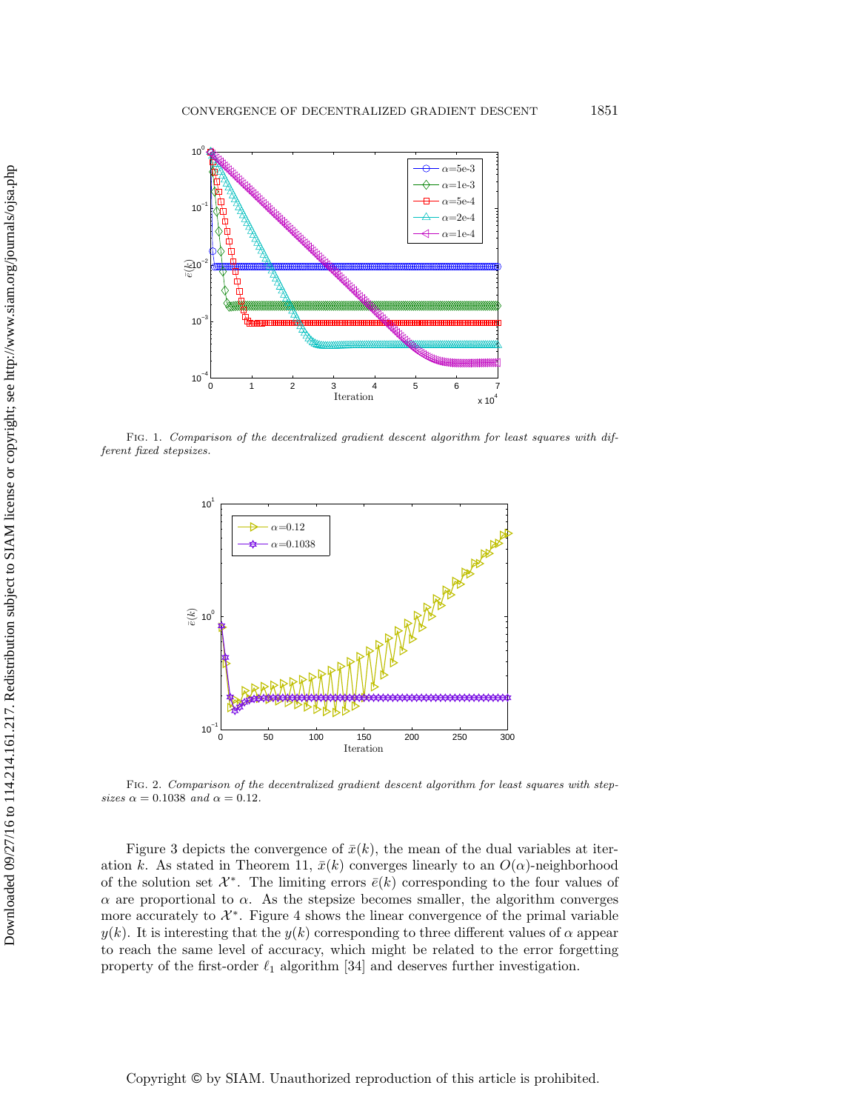<span id="page-16-0"></span>

<span id="page-16-1"></span>Fig. 1. Comparison of the decentralized gradient descent algorithm for least squares with different fixed stepsizes.



Fig. 2. Comparison of the decentralized gradient descent algorithm for least squares with stepsizes  $\alpha = 0.1038$  and  $\alpha = 0.12$ .

Figure [3](#page-17-0) depicts the convergence of  $\bar{x}(k)$ , the mean of the dual variables at iter-ation k. As stated in Theorem [11,](#page-14-4)  $\bar{x}(k)$  converges linearly to an  $O(\alpha)$ -neighborhood of the solution set  $\mathcal{X}^*$ . The limiting errors  $\bar{e}(k)$  corresponding to the four values of  $\alpha$  are proportional to  $\alpha$ . As the stepsize becomes smaller, the algorithm converges more accurately to  $\mathcal{X}^*$ . Figure [4](#page-17-1) shows the linear convergence of the primal variable  $y(k)$ . It is interesting that the  $y(k)$  corresponding to three different values of  $\alpha$  appear to reach the same level of accuracy, which might be related to the error forgetting property of the first-order  $\ell_1$  algorithm [\[34\]](#page-19-17) and deserves further investigation.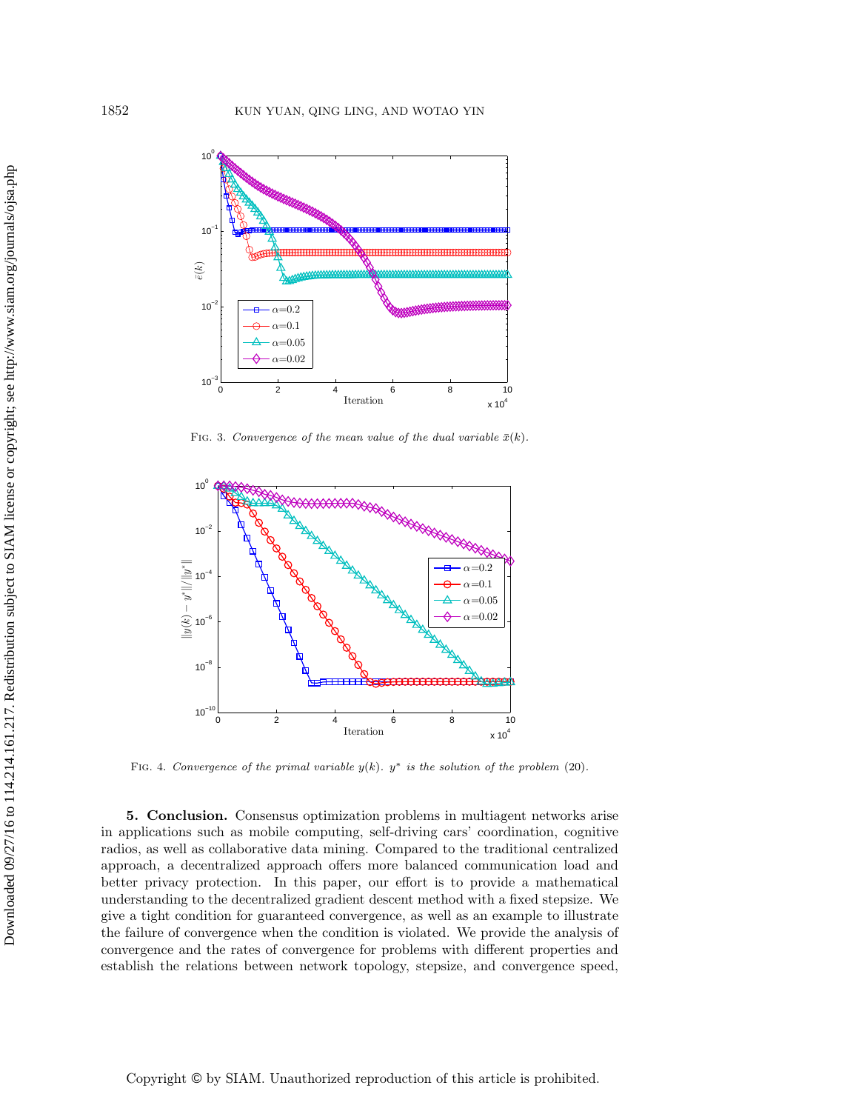<span id="page-17-0"></span>

FIG. 3. Convergence of the mean value of the dual variable  $\bar{x}(k)$ .

<span id="page-17-1"></span>

FIG. 4. Convergence of the primal variable  $y(k)$ .  $y^*$  is the solution of the problem [\(20\)](#page-13-2).

5. Conclusion. Consensus optimization problems in multiagent networks arise in applications such as mobile computing, self-driving cars' coordination, cognitive radios, as well as collaborative data mining. Compared to the traditional centralized approach, a decentralized approach offers more balanced communication load and better privacy protection. In this paper, our effort is to provide a mathematical understanding to the decentralized gradient descent method with a fixed stepsize. We give a tight condition for guaranteed convergence, as well as an example to illustrate the failure of convergence when the condition is violated. We provide the analysis of convergence and the rates of convergence for problems with different properties and establish the relations between network topology, stepsize, and convergence speed,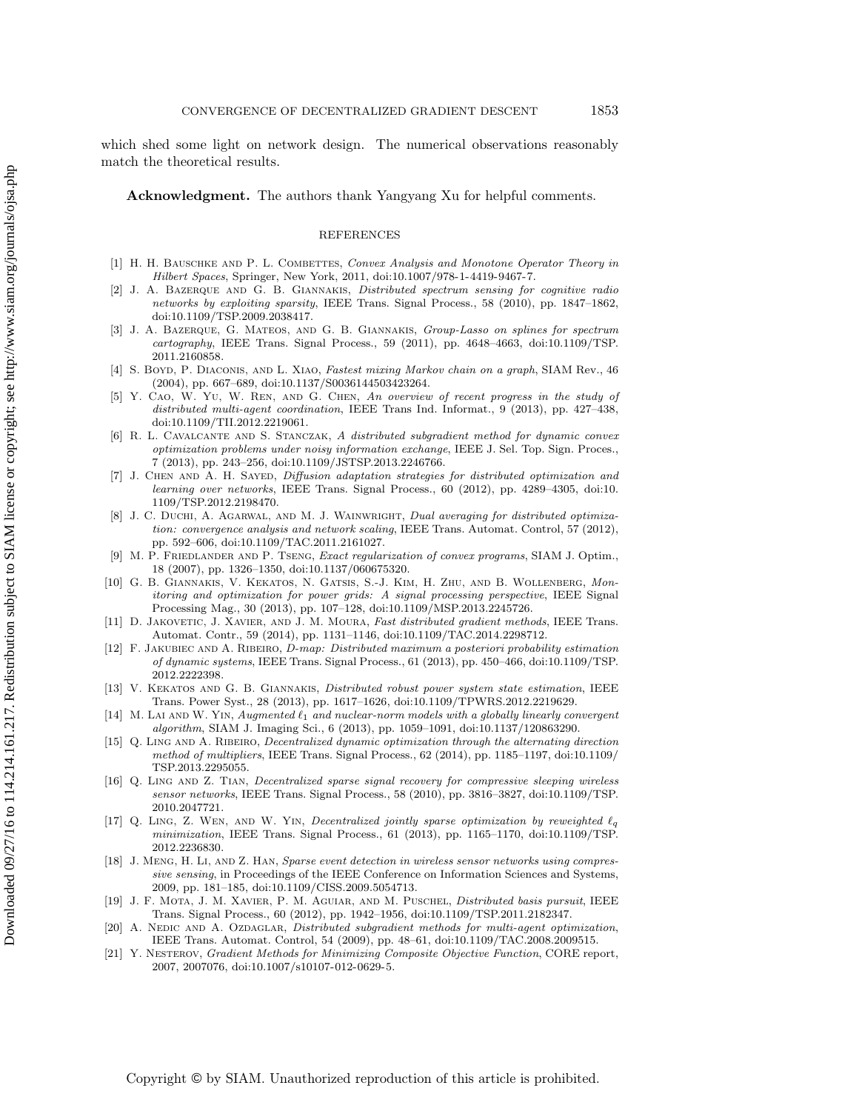which shed some light on network design. The numerical observations reasonably match the theoretical results.

Acknowledgment. The authors thank Yangyang Xu for helpful comments.

#### REFERENCES

- <span id="page-18-16"></span>[1] H. H. BAUSCHKE AND P. L. COMBETTES, Convex Analysis and Monotone Operator Theory in Hilbert Spaces, Springer, New York, 2011, [doi:10.1007/978-1-4419-9467-7.](doi:10.1007/978-1-4419-9467-7)
- <span id="page-18-8"></span>[2] J. A. Bazerque and G. B. Giannakis, Distributed spectrum sensing for cognitive radio networks by exploiting sparsity, IEEE Trans. Signal Process., 58 (2010), pp. 1847–1862, [doi:10.1109/TSP.2009.2038417.](doi:10.1109/TSP.2009.2038417)
- <span id="page-18-9"></span>[3] J. A. BAZERQUE, G. MATEOS, AND G. B. GIANNAKIS, Group-Lasso on splines for spectrum cartography, IEEE Trans. Signal Process., 59 (2011), pp. 4648–4663, [doi:10.1109/TSP.](doi:10.1109/TSP.2011.2160858) [2011.2160858.](doi:10.1109/TSP.2011.2160858)
- <span id="page-18-1"></span>[4] S. Boyd, P. DIACONIS, AND L. XIAO, Fastest mixing Markov chain on a graph, SIAM Rev., 46 (2004), pp. 667–689, [doi:10.1137/S0036144503423264.](doi:10.1137/S0036144503423264)
- <span id="page-18-5"></span>Y. CAO, W. YU, W. REN, AND G. CHEN, An overview of recent progress in the study of distributed multi-agent coordination, IEEE Trans Ind. Informat., 9 (2013), pp. 427–438, [doi:10.1109/TII.2012.2219061.](doi: 10.1109/TII.2012.2219061 )
- <span id="page-18-11"></span>[6] R. L. Cavalcante and S. Stanczak, A distributed subgradient method for dynamic convex optimization problems under noisy information exchange, IEEE J. Sel. Top. Sign. Proces., 7 (2013), pp. 243–256, [doi:10.1109/JSTSP.2013.2246766.](doi:10.1109/JSTSP.2013.2246766)
- <span id="page-18-2"></span>[7] J. CHEN AND A. H. SAYED, Diffusion adaptation strategies for distributed optimization and learning over networks, IEEE Trans. Signal Process., 60 (2012), pp. 4289–4305, [doi:10.](doi:10.1109/TSP.2012.2198470) [1109/TSP.2012.2198470.](doi:10.1109/TSP.2012.2198470)
- <span id="page-18-10"></span>[8] J. C. DUCHI, A. AGARWAL, AND M. J. WAINWRIGHT, Dual averaging for distributed optimization: convergence analysis and network scaling, IEEE Trans. Automat. Control, 57 (2012), pp. 592–606, [doi:10.1109/TAC.2011.2161027.](doi:10.1109/TAC.2011.2161027)
- <span id="page-18-20"></span>[9] M. P. Friedlander and P. Tseng, Exact regularization of convex programs, SIAM J. Optim., 18 (2007), pp. 1326–1350, [doi:10.1137/060675320.](doi:10.1137/060675320)
- <span id="page-18-6"></span>[10] G. B. Giannakis, V. Kekatos, N. Gatsis, S.-J. Kim, H. Zhu, and B. Wollenberg, Monitoring and optimization for power grids: A signal processing perspective, IEEE Signal Processing Mag., 30 (2013), pp. 107–128, [doi:10.1109/MSP.2013.2245726.](doi:10.1109/MSP.2013.2245726)
- <span id="page-18-14"></span>[11] D. JAKOVETIC, J. XAVIER, AND J. M. MOURA, Fast distributed gradient methods, IEEE Trans. Automat. Contr., 59 (2014), pp. 1131–1146, [doi:10.1109/TAC.2014.2298712.](doi:10.1109/TAC.2014.2298712)
- <span id="page-18-12"></span>[12] F. Jakubiec and A. Ribeiro, D-map: Distributed maximum a posteriori probability estimation of dynamic systems, IEEE Trans. Signal Process., 61 (2013), pp. 450–466, [doi:10.1109/TSP.](doi:10.1109/TSP.2012.2222398) [2012.2222398.](doi:10.1109/TSP.2012.2222398)
- <span id="page-18-7"></span>[13] V. Kekatos and G. B. Giannakis, Distributed robust power system state estimation, IEEE Trans. Power Syst., 28 (2013), pp. 1617–1626, [doi:10.1109/TPWRS.2012.2219629.](doi:10.1109/TPWRS.2012.2219629)
- <span id="page-18-15"></span>[14] M. LAI AND W. YIN, Augmented  $\ell_1$  and nuclear-norm models with a globally linearly convergent algorithm, SIAM J. Imaging Sci., 6 (2013), pp. 1059–1091, [doi:10.1137/120863290.](doi:10.1137/120863290)
- <span id="page-18-13"></span>[15] Q. LING AND A. RIBEIRO, *Decentralized dynamic optimization through the alternating direction* method of multipliers, IEEE Trans. Signal Process., 62 (2014), pp. 1185–1197, [doi:10.1109/](doi:10.1109/TSP.2013.2295055) [TSP.2013.2295055.](doi:10.1109/TSP.2013.2295055)
- <span id="page-18-4"></span>[16] Q. LING AND Z. TIAN, Decentralized sparse signal recovery for compressive sleeping wireless sensor networks, IEEE Trans. Signal Process., 58 (2010), pp. 3816–3827, [doi:10.1109/TSP.](doi:10.1109/TSP.2010.2047721) [2010.2047721.](doi:10.1109/TSP.2010.2047721)
- <span id="page-18-3"></span>[17] Q. LING, Z. WEN, AND W. YIN, Decentralized jointly sparse optimization by reweighted  $\ell_q$ minimization, IEEE Trans. Signal Process., 61 (2013), pp. 1165–1170, [doi:10.1109/TSP.](doi:10.1109/TSP.2012.2236830) [2012.2236830.](doi:10.1109/TSP.2012.2236830)
- <span id="page-18-19"></span>[18] J. Meng, H. Li, and Z. Han, Sparse event detection in wireless sensor networks using compressive sensing, in Proceedings of the IEEE Conference on Information Sciences and Systems, 2009, pp. 181–185, [doi:10.1109/CISS.2009.5054713.](doi:10.1109/CISS.2009.5054713)
- <span id="page-18-18"></span>[19] J. F. Mota, J. M. Xavier, P. M. Aguiar, and M. Puschel, Distributed basis pursuit, IEEE Trans. Signal Process., 60 (2012), pp. 1942–1956, [doi:10.1109/TSP.2011.2182347.](doi:10.1109/TSP.2011.2182347)
- <span id="page-18-0"></span>[20] A. NEDIC AND A. OZDAGLAR, Distributed subgradient methods for multi-agent optimization, IEEE Trans. Automat. Control, 54 (2009), pp. 48–61, [doi:10.1109/TAC.2008.2009515.](doi:10.1109/TAC.2008.2009515)
- <span id="page-18-17"></span>[21] Y. Nesterov, Gradient Methods for Minimizing Composite Objective Function, CORE report, 2007, 2007076, [doi:10.1007/s10107-012-0629-5.](doi:10.1007/s10107-012-0629-5)